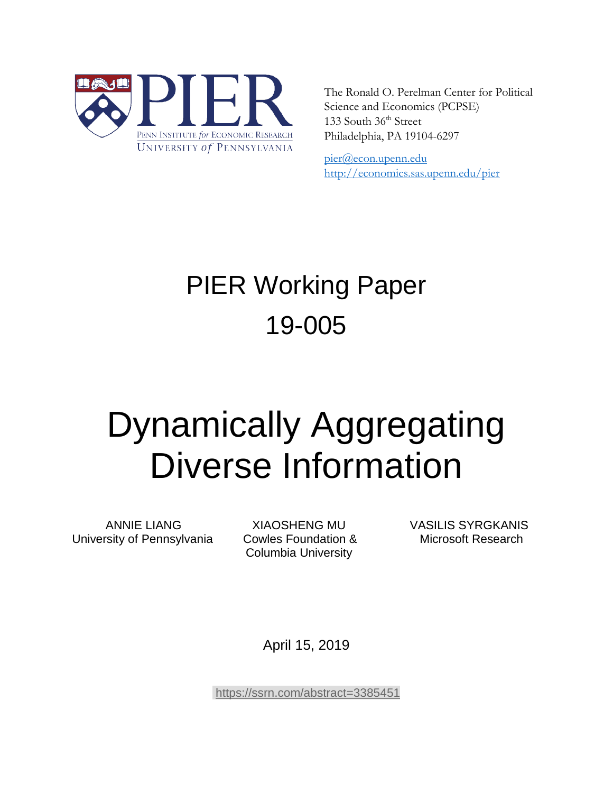

The Ronald O. Perelman Center for Political Science and Economics (PCPSE) 133 South 36<sup>th</sup> Street Philadelphia, PA 19104-6297

pier@econ.upenn.edu <http://economics.sas.upenn.edu/pier>

# PIER Working Paper 19-005

# Dynamically Aggregating Diverse Information

University of Pennsylvania Cowles Foundation & Microsoft Research

Columbia University

ANNIE LIANG XIAOSHENG MU VASILIS SYRGKANIS

April 15, 2019

<https://ssrn.com/abstract=3385451>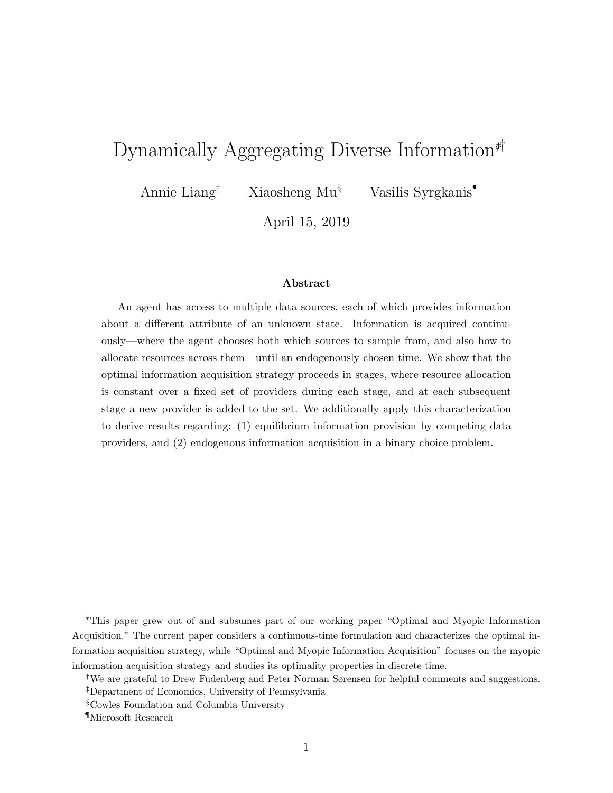# Dynamically Aggregating Diverse Information<sup>\*†</sup>

Annie Liang‡ Xiaosheng Mu§ Vasilis Syrgkanis¶

April 15, 2019

#### Abstract

An agent has access to multiple data sources, each of which provides information about a different attribute of an unknown state. Information is acquired continuously—where the agent chooses both which sources to sample from, and also how to allocate resources across them—until an endogenously chosen time. We show that the optimal information acquisition strategy proceeds in stages, where resource allocation is constant over a fixed set of providers during each stage, and at each subsequent stage a new provider is added to the set. We additionally apply this characterization to derive results regarding: (1) equilibrium information provision by competing data providers, and (2) endogenous information acquisition in a binary choice problem.

<sup>∗</sup>This paper grew out of and subsumes part of our working paper "Optimal and Myopic Information Acquisition." The current paper considers a continuous-time formulation and characterizes the optimal information acquisition strategy, while "Optimal and Myopic Information Acquisition" focuses on the myopic information acquisition strategy and studies its optimality properties in discrete time.

<sup>†</sup>We are grateful to Drew Fudenberg and Peter Norman Sørensen for helpful comments and suggestions. ‡Department of Economics, University of Pennsylvania

<sup>§</sup>Cowles Foundation and Columbia University

<sup>¶</sup>Microsoft Research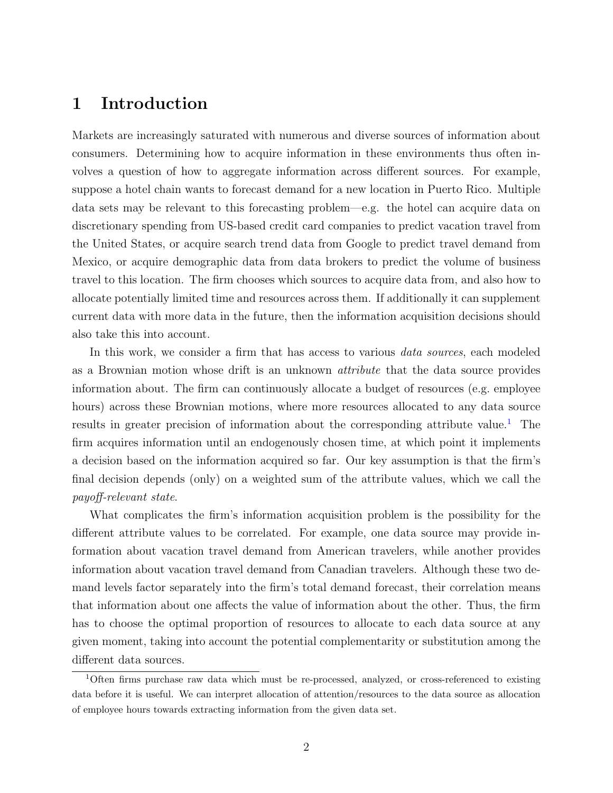# 1 Introduction

Markets are increasingly saturated with numerous and diverse sources of information about consumers. Determining how to acquire information in these environments thus often involves a question of how to aggregate information across different sources. For example, suppose a hotel chain wants to forecast demand for a new location in Puerto Rico. Multiple data sets may be relevant to this forecasting problem—e.g. the hotel can acquire data on discretionary spending from US-based credit card companies to predict vacation travel from the United States, or acquire search trend data from Google to predict travel demand from Mexico, or acquire demographic data from data brokers to predict the volume of business travel to this location. The firm chooses which sources to acquire data from, and also how to allocate potentially limited time and resources across them. If additionally it can supplement current data with more data in the future, then the information acquisition decisions should also take this into account.

In this work, we consider a firm that has access to various *data sources*, each modeled as a Brownian motion whose drift is an unknown attribute that the data source provides information about. The firm can continuously allocate a budget of resources (e.g. employee hours) across these Brownian motions, where more resources allocated to any data source results in greater precision of information about the corresponding attribute value.<sup>[1](#page-2-0)</sup> The firm acquires information until an endogenously chosen time, at which point it implements a decision based on the information acquired so far. Our key assumption is that the firm's final decision depends (only) on a weighted sum of the attribute values, which we call the payoff-relevant state.

What complicates the firm's information acquisition problem is the possibility for the different attribute values to be correlated. For example, one data source may provide information about vacation travel demand from American travelers, while another provides information about vacation travel demand from Canadian travelers. Although these two demand levels factor separately into the firm's total demand forecast, their correlation means that information about one affects the value of information about the other. Thus, the firm has to choose the optimal proportion of resources to allocate to each data source at any given moment, taking into account the potential complementarity or substitution among the different data sources.

<span id="page-2-0"></span><sup>1</sup>Often firms purchase raw data which must be re-processed, analyzed, or cross-referenced to existing data before it is useful. We can interpret allocation of attention/resources to the data source as allocation of employee hours towards extracting information from the given data set.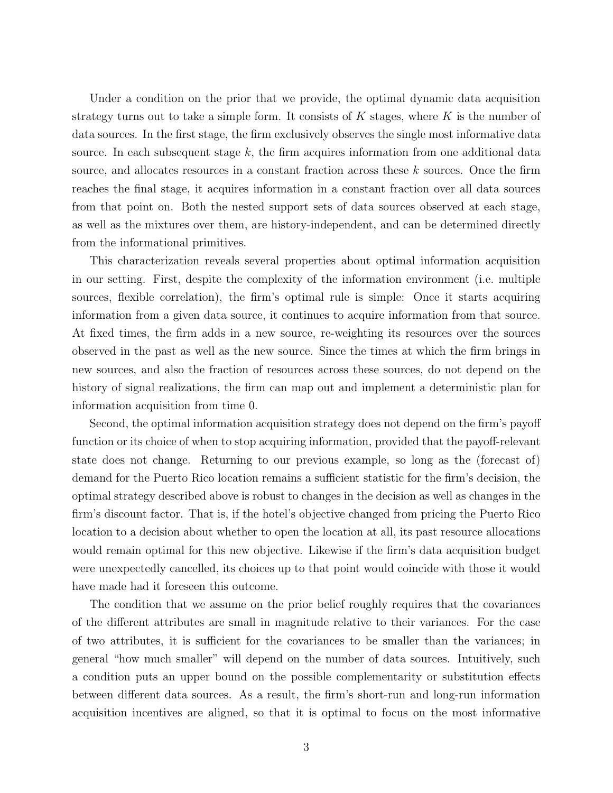Under a condition on the prior that we provide, the optimal dynamic data acquisition strategy turns out to take a simple form. It consists of  $K$  stages, where  $K$  is the number of data sources. In the first stage, the firm exclusively observes the single most informative data source. In each subsequent stage  $k$ , the firm acquires information from one additional data source, and allocates resources in a constant fraction across these k sources. Once the firm reaches the final stage, it acquires information in a constant fraction over all data sources from that point on. Both the nested support sets of data sources observed at each stage, as well as the mixtures over them, are history-independent, and can be determined directly from the informational primitives.

This characterization reveals several properties about optimal information acquisition in our setting. First, despite the complexity of the information environment (i.e. multiple sources, flexible correlation), the firm's optimal rule is simple: Once it starts acquiring information from a given data source, it continues to acquire information from that source. At fixed times, the firm adds in a new source, re-weighting its resources over the sources observed in the past as well as the new source. Since the times at which the firm brings in new sources, and also the fraction of resources across these sources, do not depend on the history of signal realizations, the firm can map out and implement a deterministic plan for information acquisition from time 0.

Second, the optimal information acquisition strategy does not depend on the firm's payoff function or its choice of when to stop acquiring information, provided that the payoff-relevant state does not change. Returning to our previous example, so long as the (forecast of) demand for the Puerto Rico location remains a sufficient statistic for the firm's decision, the optimal strategy described above is robust to changes in the decision as well as changes in the firm's discount factor. That is, if the hotel's objective changed from pricing the Puerto Rico location to a decision about whether to open the location at all, its past resource allocations would remain optimal for this new objective. Likewise if the firm's data acquisition budget were unexpectedly cancelled, its choices up to that point would coincide with those it would have made had it foreseen this outcome.

The condition that we assume on the prior belief roughly requires that the covariances of the different attributes are small in magnitude relative to their variances. For the case of two attributes, it is sufficient for the covariances to be smaller than the variances; in general "how much smaller" will depend on the number of data sources. Intuitively, such a condition puts an upper bound on the possible complementarity or substitution effects between different data sources. As a result, the firm's short-run and long-run information acquisition incentives are aligned, so that it is optimal to focus on the most informative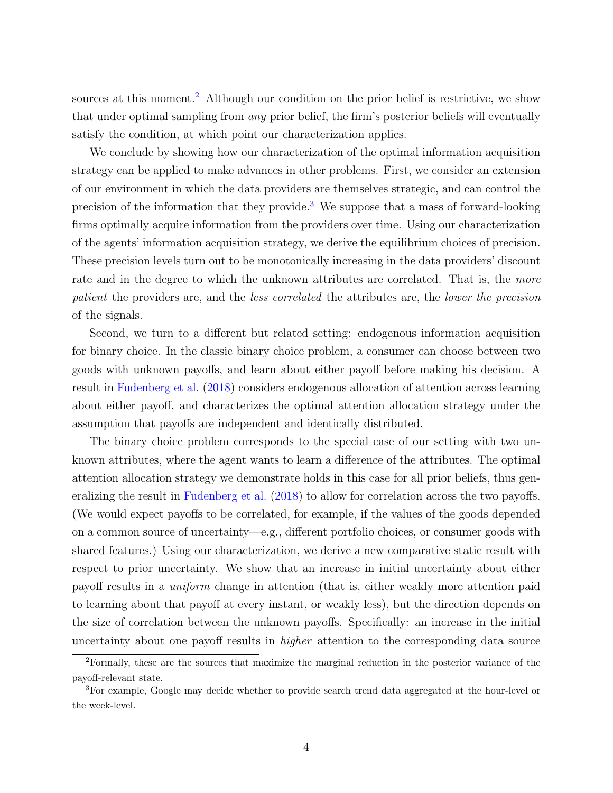sources at this moment.<sup>[2](#page-4-0)</sup> Although our condition on the prior belief is restrictive, we show that under optimal sampling from *any* prior belief, the firm's posterior beliefs will eventually satisfy the condition, at which point our characterization applies.

We conclude by showing how our characterization of the optimal information acquisition strategy can be applied to make advances in other problems. First, we consider an extension of our environment in which the data providers are themselves strategic, and can control the precision of the information that they provide.<sup>[3](#page-4-1)</sup> We suppose that a mass of forward-looking firms optimally acquire information from the providers over time. Using our characterization of the agents' information acquisition strategy, we derive the equilibrium choices of precision. These precision levels turn out to be monotonically increasing in the data providers' discount rate and in the degree to which the unknown attributes are correlated. That is, the more patient the providers are, and the less correlated the attributes are, the lower the precision of the signals.

Second, we turn to a different but related setting: endogenous information acquisition for binary choice. In the classic binary choice problem, a consumer can choose between two goods with unknown payoffs, and learn about either payoff before making his decision. A result in [Fudenberg et al.](#page-38-0) [\(2018\)](#page-38-0) considers endogenous allocation of attention across learning about either payoff, and characterizes the optimal attention allocation strategy under the assumption that payoffs are independent and identically distributed.

The binary choice problem corresponds to the special case of our setting with two unknown attributes, where the agent wants to learn a difference of the attributes. The optimal attention allocation strategy we demonstrate holds in this case for all prior beliefs, thus generalizing the result in [Fudenberg et al.](#page-38-0) [\(2018\)](#page-38-0) to allow for correlation across the two payoffs. (We would expect payoffs to be correlated, for example, if the values of the goods depended on a common source of uncertainty—e.g., different portfolio choices, or consumer goods with shared features.) Using our characterization, we derive a new comparative static result with respect to prior uncertainty. We show that an increase in initial uncertainty about either payoff results in a uniform change in attention (that is, either weakly more attention paid to learning about that payoff at every instant, or weakly less), but the direction depends on the size of correlation between the unknown payoffs. Specifically: an increase in the initial uncertainty about one payoff results in higher attention to the corresponding data source

<span id="page-4-0"></span><sup>2</sup>Formally, these are the sources that maximize the marginal reduction in the posterior variance of the payoff-relevant state.

<span id="page-4-1"></span><sup>3</sup>For example, Google may decide whether to provide search trend data aggregated at the hour-level or the week-level.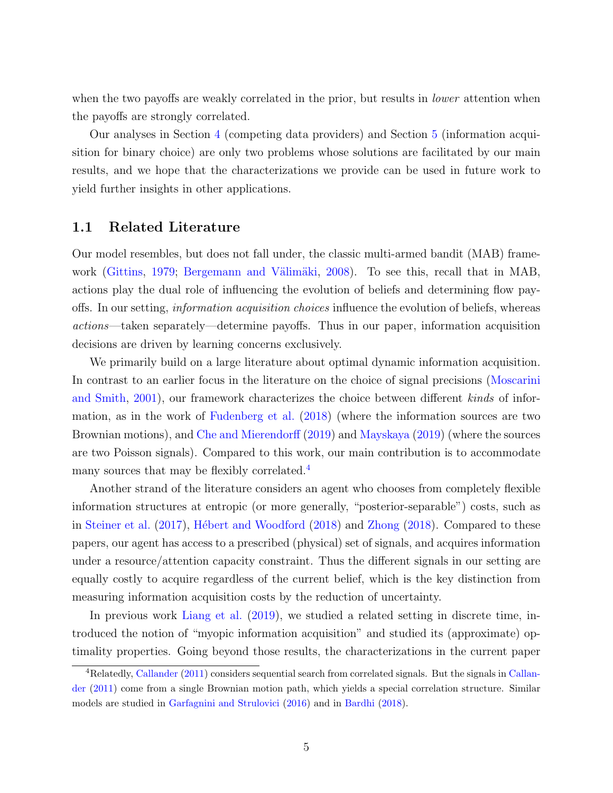when the two payoffs are weakly correlated in the prior, but results in *lower* attention when the payoffs are strongly correlated.

Our analyses in Section [4](#page-13-0) (competing data providers) and Section [5](#page-16-0) (information acquisition for binary choice) are only two problems whose solutions are facilitated by our main results, and we hope that the characterizations we provide can be used in future work to yield further insights in other applications.

#### 1.1 Related Literature

Our model resembles, but does not fall under, the classic multi-armed bandit (MAB) frame-work [\(Gittins,](#page-38-1) [1979;](#page-38-1) Bergemann and Välimäki, [2008\)](#page-38-2). To see this, recall that in MAB, actions play the dual role of influencing the evolution of beliefs and determining flow payoffs. In our setting, information acquisition choices influence the evolution of beliefs, whereas actions—taken separately—determine payoffs. Thus in our paper, information acquisition decisions are driven by learning concerns exclusively.

We primarily build on a large literature about optimal dynamic information acquisition. In contrast to an earlier focus in the literature on the choice of signal precisions [\(Moscarini](#page-38-3) [and Smith,](#page-38-3) [2001\)](#page-38-3), our framework characterizes the choice between different kinds of information, as in the work of [Fudenberg et al.](#page-38-0) [\(2018\)](#page-38-0) (where the information sources are two Brownian motions), and [Che and Mierendorff](#page-38-4) [\(2019\)](#page-38-4) and [Mayskaya](#page-38-5) [\(2019\)](#page-38-5) (where the sources are two Poisson signals). Compared to this work, our main contribution is to accommodate many sources that may be flexibly correlated.<sup>[4](#page-5-0)</sup>

Another strand of the literature considers an agent who chooses from completely flexible information structures at entropic (or more generally, "posterior-separable") costs, such as in [Steiner et al.](#page-39-0) [\(2017\)](#page-39-0), Hébert and Woodford [\(2018\)](#page-39-1) and [Zhong](#page-39-1) (2018). Compared to these papers, our agent has access to a prescribed (physical) set of signals, and acquires information under a resource/attention capacity constraint. Thus the different signals in our setting are equally costly to acquire regardless of the current belief, which is the key distinction from measuring information acquisition costs by the reduction of uncertainty.

In previous work [Liang et al.](#page-38-7) [\(2019\)](#page-38-7), we studied a related setting in discrete time, introduced the notion of "myopic information acquisition" and studied its (approximate) optimality properties. Going beyond those results, the characterizations in the current paper

<span id="page-5-0"></span><sup>4</sup>Relatedly, [Callander](#page-38-8) [\(2011\)](#page-38-8) considers sequential search from correlated signals. But the signals in [Callan](#page-38-8)[der](#page-38-8) [\(2011\)](#page-38-8) come from a single Brownian motion path, which yields a special correlation structure. Similar models are studied in [Garfagnini and Strulovici](#page-38-9) [\(2016\)](#page-38-9) and in [Bardhi](#page-38-10) [\(2018\)](#page-38-10).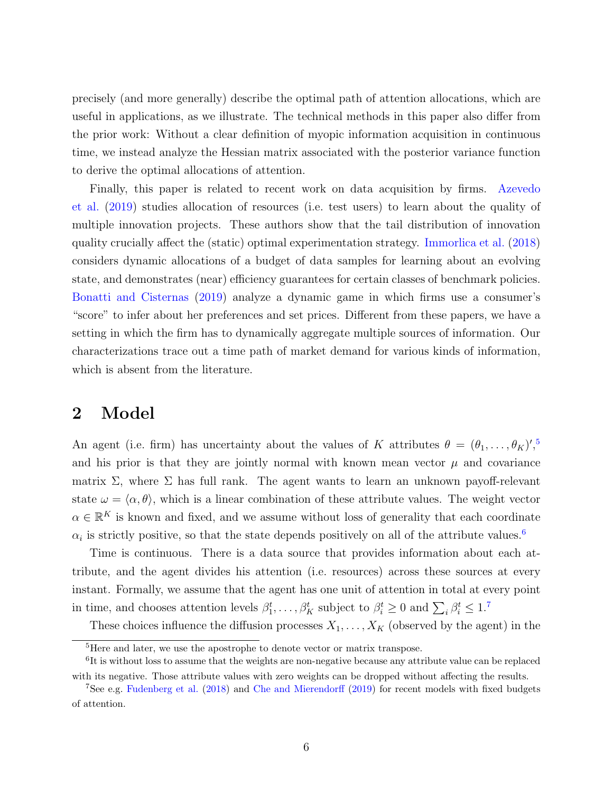precisely (and more generally) describe the optimal path of attention allocations, which are useful in applications, as we illustrate. The technical methods in this paper also differ from the prior work: Without a clear definition of myopic information acquisition in continuous time, we instead analyze the Hessian matrix associated with the posterior variance function to derive the optimal allocations of attention.

Finally, this paper is related to recent work on data acquisition by firms. [Azevedo](#page-38-11) [et al.](#page-38-11) [\(2019\)](#page-38-11) studies allocation of resources (i.e. test users) to learn about the quality of multiple innovation projects. These authors show that the tail distribution of innovation quality crucially affect the (static) optimal experimentation strategy. [Immorlica et al.](#page-38-12) [\(2018\)](#page-38-12) considers dynamic allocations of a budget of data samples for learning about an evolving state, and demonstrates (near) efficiency guarantees for certain classes of benchmark policies. [Bonatti and Cisternas](#page-38-13) [\(2019\)](#page-38-13) analyze a dynamic game in which firms use a consumer's "score" to infer about her preferences and set prices. Different from these papers, we have a setting in which the firm has to dynamically aggregate multiple sources of information. Our characterizations trace out a time path of market demand for various kinds of information, which is absent from the literature.

### 2 Model

An agent (i.e. firm) has uncertainty about the values of K attributes  $\theta = (\theta_1, \ldots, \theta_K)'$ ,<sup>[5](#page-6-0)</sup> and his prior is that they are jointly normal with known mean vector  $\mu$  and covariance matrix  $\Sigma$ , where  $\Sigma$  has full rank. The agent wants to learn an unknown payoff-relevant state  $\omega = \langle \alpha, \theta \rangle$ , which is a linear combination of these attribute values. The weight vector  $\alpha \in \mathbb{R}^K$  is known and fixed, and we assume without loss of generality that each coordinate  $\alpha_i$  is strictly positive, so that the state depends positively on all of the attribute values.<sup>[6](#page-6-1)</sup>

Time is continuous. There is a data source that provides information about each attribute, and the agent divides his attention (i.e. resources) across these sources at every instant. Formally, we assume that the agent has one unit of attention in total at every point in time, and chooses attention levels  $\beta_1^t, \ldots, \beta_K^t$  subject to  $\beta_i^t \geq 0$  and  $\sum_i \beta_i^t \leq 1$ .<sup>[7](#page-6-2)</sup>

These choices influence the diffusion processes  $X_1, \ldots, X_K$  (observed by the agent) in the

<span id="page-6-1"></span><span id="page-6-0"></span><sup>&</sup>lt;sup>5</sup>Here and later, we use the apostrophe to denote vector or matrix transpose.

<sup>&</sup>lt;sup>6</sup>It is without loss to assume that the weights are non-negative because any attribute value can be replaced with its negative. Those attribute values with zero weights can be dropped without affecting the results.

<span id="page-6-2"></span><sup>7</sup>See e.g. [Fudenberg et al.](#page-38-0) [\(2018\)](#page-38-0) and [Che and Mierendorff](#page-38-4) [\(2019\)](#page-38-4) for recent models with fixed budgets of attention.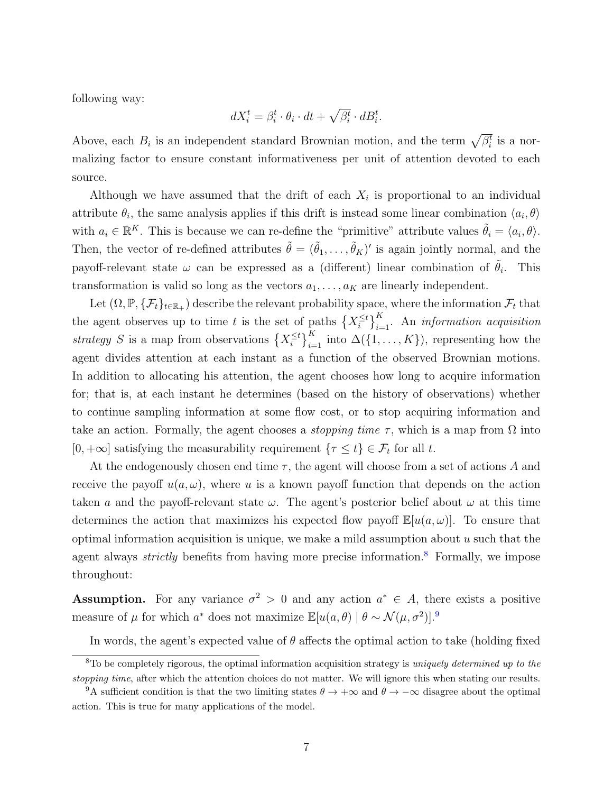following way:

$$
dX_i^t = \beta_i^t \cdot \theta_i \cdot dt + \sqrt{\beta_i^t} \cdot dB_i^t.
$$

Above, each  $B_i$  is an independent standard Brownian motion, and the term  $\sqrt{\beta_i^t}$  is a normalizing factor to ensure constant informativeness per unit of attention devoted to each source.

Although we have assumed that the drift of each  $X_i$  is proportional to an individual attribute  $\theta_i$ , the same analysis applies if this drift is instead some linear combination  $\langle a_i, \theta \rangle$ with  $a_i \in \mathbb{R}^K$ . This is because we can re-define the "primitive" attribute values  $\tilde{\theta}_i = \langle a_i, \theta \rangle$ . Then, the vector of re-defined attributes  $\tilde{\theta} = (\tilde{\theta}_1, \dots, \tilde{\theta}_K)'$  is again jointly normal, and the payoff-relevant state  $\omega$  can be expressed as a (different) linear combination of  $\tilde{\theta}_i$ . This transformation is valid so long as the vectors  $a_1, \ldots, a_K$  are linearly independent.

Let  $(\Omega, \mathbb{P}, \{\mathcal{F}_t\}_{t\in \mathbb{R}_+})$  describe the relevant probability space, where the information  $\mathcal{F}_t$  that the agent observes up to time t is the set of paths  $\{X_i^{\leq t}$  $\binom{\leq t}{i}$ <sub>i=1</sub>. An *information acquisition* strategy S is a map from observations  $\{X_i^{\leq t}$  $\binom{\leq t}{i}_{i=1}^K$  into  $\Delta({1, \ldots, K})$ , representing how the agent divides attention at each instant as a function of the observed Brownian motions. In addition to allocating his attention, the agent chooses how long to acquire information for; that is, at each instant he determines (based on the history of observations) whether to continue sampling information at some flow cost, or to stop acquiring information and take an action. Formally, the agent chooses a *stopping time*  $\tau$ , which is a map from  $\Omega$  into  $[0, +\infty]$  satisfying the measurability requirement  $\{\tau \leq t\} \in \mathcal{F}_t$  for all t.

At the endogenously chosen end time  $\tau$ , the agent will choose from a set of actions A and receive the payoff  $u(a, \omega)$ , where u is a known payoff function that depends on the action taken a and the payoff-relevant state  $\omega$ . The agent's posterior belief about  $\omega$  at this time determines the action that maximizes his expected flow payoff  $\mathbb{E}[u(a,\omega)]$ . To ensure that optimal information acquisition is unique, we make a mild assumption about  $u$  such that the agent always *strictly* benefits from having more precise information.<sup>[8](#page-7-0)</sup> Formally, we impose throughout:

**Assumption.** For any variance  $\sigma^2 > 0$  and any action  $a^* \in A$ , there exists a positive measure of  $\mu$  for which  $a^*$  does not maximize  $\mathbb{E}[u(a, \theta) | \theta \sim \mathcal{N}(\mu, \sigma^2)]$ .<sup>[9](#page-7-1)</sup>

<span id="page-7-0"></span>In words, the agent's expected value of  $\theta$  affects the optimal action to take (holding fixed

 $8T_0$  be completely rigorous, the optimal information acquisition strategy is uniquely determined up to the stopping time, after which the attention choices do not matter. We will ignore this when stating our results.

<span id="page-7-1"></span><sup>&</sup>lt;sup>9</sup>A sufficient condition is that the two limiting states  $\theta \to +\infty$  and  $\theta \to -\infty$  disagree about the optimal action. This is true for many applications of the model.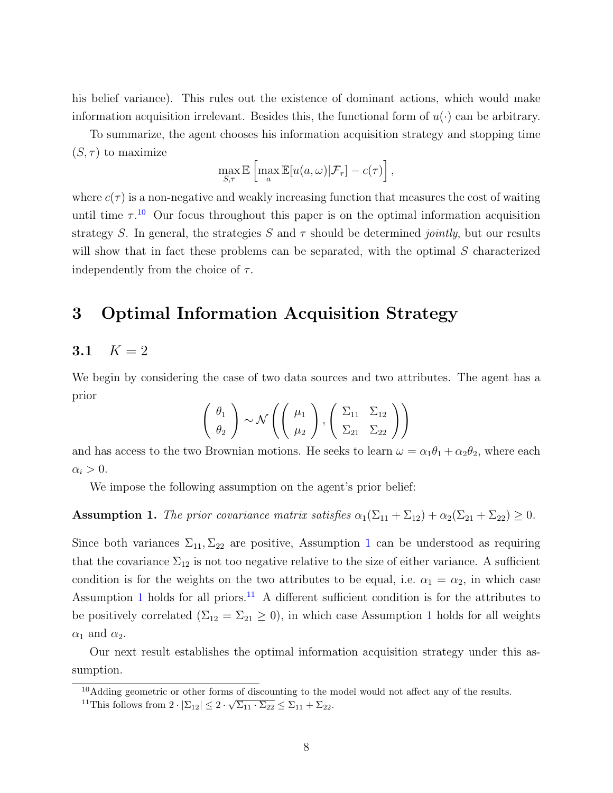his belief variance). This rules out the existence of dominant actions, which would make information acquisition irrelevant. Besides this, the functional form of  $u(\cdot)$  can be arbitrary.

To summarize, the agent chooses his information acquisition strategy and stopping time  $(S, \tau)$  to maximize

$$
\max_{S,\tau} \mathbb{E}\left[\max_{a} \mathbb{E}[u(a,\omega)|\mathcal{F}_{\tau}] - c(\tau)\right],
$$

where  $c(\tau)$  is a non-negative and weakly increasing function that measures the cost of waiting until time  $\tau^{10}$  $\tau^{10}$  $\tau^{10}$  Our focus throughout this paper is on the optimal information acquisition strategy S. In general, the strategies S and  $\tau$  should be determined *jointly*, but our results will show that in fact these problems can be separated, with the optimal S characterized independently from the choice of  $\tau$ .

# 3 Optimal Information Acquisition Strategy

#### 3.1  $K = 2$

We begin by considering the case of two data sources and two attributes. The agent has a prior

$$
\left(\begin{array}{c}\n\theta_1 \\
\theta_2\n\end{array}\right) \sim \mathcal{N}\left(\left(\begin{array}{c}\n\mu_1 \\
\mu_2\n\end{array}\right), \left(\begin{array}{cc}\n\Sigma_{11} & \Sigma_{12} \\
\Sigma_{21} & \Sigma_{22}\n\end{array}\right)\right)
$$

and has access to the two Brownian motions. He seeks to learn  $\omega = \alpha_1 \theta_1 + \alpha_2 \theta_2$ , where each  $\alpha_i > 0$ .

We impose the following assumption on the agent's prior belief:

<span id="page-8-1"></span>Assumption 1. The prior covariance matrix satisfies  $\alpha_1(\Sigma_{11} + \Sigma_{12}) + \alpha_2(\Sigma_{21} + \Sigma_{22}) \geq 0$ .

Since both variances  $\Sigma_{11}, \Sigma_{22}$  $\Sigma_{11}, \Sigma_{22}$  $\Sigma_{11}, \Sigma_{22}$  are positive, Assumption 1 can be understood as requiring that the covariance  $\Sigma_{12}$  is not too negative relative to the size of either variance. A sufficient condition is for the weights on the two attributes to be equal, i.e.  $\alpha_1 = \alpha_2$ , in which case Assumption [1](#page-8-1) holds for all priors.<sup>[11](#page-8-2)</sup> A different sufficient condition is for the attributes to be positively correlated  $(\Sigma_{12} = \Sigma_{21} \geq 0)$  $(\Sigma_{12} = \Sigma_{21} \geq 0)$  $(\Sigma_{12} = \Sigma_{21} \geq 0)$ , in which case Assumption 1 holds for all weights  $\alpha_1$  and  $\alpha_2$ .

Our next result establishes the optimal information acquisition strategy under this assumption.

<span id="page-8-2"></span><span id="page-8-0"></span><sup>&</sup>lt;sup>10</sup>Adding geometric or other forms of discounting to the model would not affect any of the results.

<sup>&</sup>lt;sup>11</sup>This follows from  $2 \cdot |\Sigma_{12}| \leq 2 \cdot \sqrt{\Sigma_{11} \cdot \Sigma_{22}} \leq \Sigma_{11} + \Sigma_{22}$ .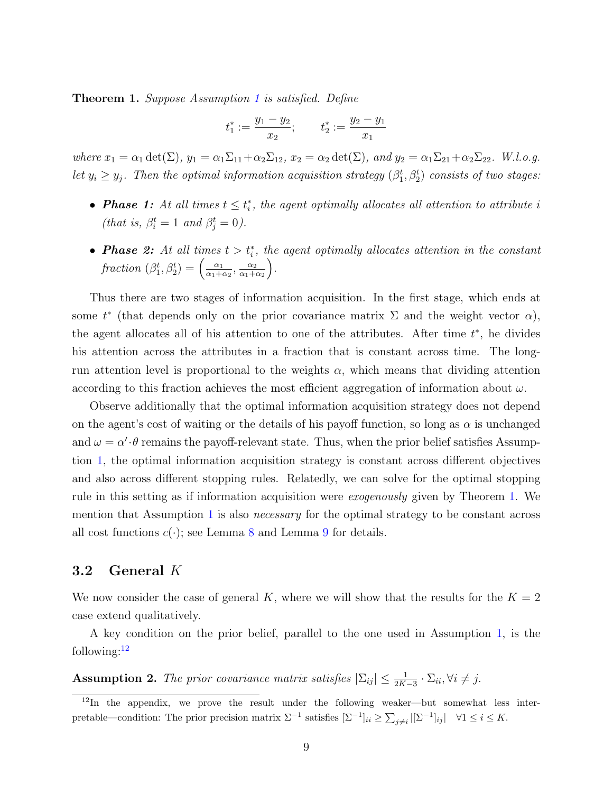<span id="page-9-0"></span>**Theorem [1](#page-8-1).** Suppose Assumption 1 is satisfied. Define

$$
t_1^* := \frac{y_1 - y_2}{x_2}; \qquad t_2^* := \frac{y_2 - y_1}{x_1}
$$

where  $x_1 = \alpha_1 \det(\Sigma)$ ,  $y_1 = \alpha_1 \Sigma_{11} + \alpha_2 \Sigma_{12}$ ,  $x_2 = \alpha_2 \det(\Sigma)$ , and  $y_2 = \alpha_1 \Sigma_{21} + \alpha_2 \Sigma_{22}$ . W.l.o.g. let  $y_i \ge y_j$ . Then the optimal information acquisition strategy  $(\beta_1^t, \beta_2^t)$  consists of two stages:

- **Phase 1:** At all times  $t \leq t_i^*$ , the agent optimally allocates all attention to attribute i (that is,  $\beta_i^t = 1$  and  $\beta_j^t = 0$ ).
- **Phase 2:** At all times  $t > t_i^*$ , the agent optimally allocates attention in the constant fraction  $(\beta_1^t, \beta_2^t) = \begin{pmatrix} \frac{\alpha_1}{\alpha_1 + \alpha_2} & \cdots & \frac{\alpha_n}{\alpha_n + \alpha_n} \\ \vdots & \vdots & \vdots \\ \frac{\alpha_n}{\alpha_1 + \alpha_n} & \cdots & \frac{\alpha_n}{\alpha_n + \alpha_n} \end{pmatrix}$  $\frac{\alpha_1}{\alpha_1+\alpha_2}, \frac{\alpha_2}{\alpha_1+\alpha_2}$  $\alpha_1+\alpha_2$ .

Thus there are two stages of information acquisition. In the first stage, which ends at some  $t^*$  (that depends only on the prior covariance matrix  $\Sigma$  and the weight vector  $\alpha$ ), the agent allocates all of his attention to one of the attributes. After time  $t^*$ , he divides his attention across the attributes in a fraction that is constant across time. The longrun attention level is proportional to the weights  $\alpha$ , which means that dividing attention according to this fraction achieves the most efficient aggregation of information about  $\omega$ .

Observe additionally that the optimal information acquisition strategy does not depend on the agent's cost of waiting or the details of his payoff function, so long as  $\alpha$  is unchanged and  $\omega = \alpha' \cdot \theta$  remains the payoff-relevant state. Thus, when the prior belief satisfies Assumption [1,](#page-8-1) the optimal information acquisition strategy is constant across different objectives and also across different stopping rules. Relatedly, we can solve for the optimal stopping rule in this setting as if information acquisition were exogenously given by Theorem [1.](#page-9-0) We mention that Assumption [1](#page-8-1) is also necessary for the optimal strategy to be constant across all cost functions  $c(\cdot)$ ; see Lemma [8](#page-21-0) and Lemma [9](#page-22-0) for details.

#### 3.2 General K

We now consider the case of general K, where we will show that the results for the  $K = 2$ case extend qualitatively.

A key condition on the prior belief, parallel to the one used in Assumption [1,](#page-8-1) is the following: $12$ 

<span id="page-9-2"></span>**Assumption 2.** The prior covariance matrix satisfies  $|\Sigma_{ij}| \leq \frac{1}{2K-3} \cdot \Sigma_{ii}$ ,  $\forall i \neq j$ .

<span id="page-9-1"></span><sup>12</sup>In the appendix, we prove the result under the following weaker—but somewhat less interpretable—condition: The prior precision matrix  $\Sigma^{-1}$  satisfies  $[\Sigma^{-1}]_{ii} \geq \sum_{j \neq i} |[\Sigma^{-1}]_{ij}| \quad \forall 1 \leq i \leq K$ .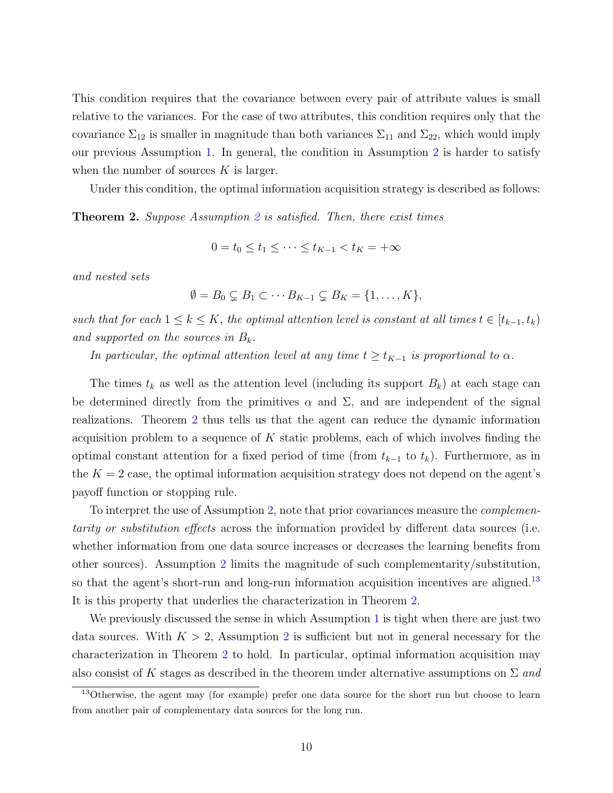This condition requires that the covariance between every pair of attribute values is small relative to the variances. For the case of two attributes, this condition requires only that the covariance  $\Sigma_{12}$  is smaller in magnitude than both variances  $\Sigma_{11}$  and  $\Sigma_{22}$ , which would imply our previous Assumption [1.](#page-8-1) In general, the condition in Assumption [2](#page-9-2) is harder to satisfy when the number of sources  $K$  is larger.

Under this condition, the optimal information acquisition strategy is described as follows:

<span id="page-10-0"></span>**Theorem [2](#page-9-2).** Suppose Assumption 2 is satisfied. Then, there exist times

$$
0 = t_0 \le t_1 \le \dots \le t_{K-1} < t_K = +\infty
$$

and nested sets

$$
\emptyset = B_0 \subsetneq B_1 \subset \cdots B_{K-1} \subsetneq B_K = \{1, \ldots, K\},\
$$

such that for each  $1 \leq k \leq K$ , the optimal attention level is constant at all times  $t \in [t_{k-1}, t_k)$ and supported on the sources in  $B_k$ .

In particular, the optimal attention level at any time  $t \geq t_{K-1}$  is proportional to  $\alpha$ .

The times  $t_k$  as well as the attention level (including its support  $B_k$ ) at each stage can be determined directly from the primitives  $\alpha$  and  $\Sigma$ , and are independent of the signal realizations. Theorem [2](#page-10-0) thus tells us that the agent can reduce the dynamic information acquisition problem to a sequence of  $K$  static problems, each of which involves finding the optimal constant attention for a fixed period of time (from  $t_{k-1}$  to  $t_k$ ). Furthermore, as in the  $K = 2$  case, the optimal information acquisition strategy does not depend on the agent's payoff function or stopping rule.

To interpret the use of Assumption [2,](#page-9-2) note that prior covariances measure the *complemen*tarity or substitution effects across the information provided by different data sources (i.e. whether information from one data source increases or decreases the learning benefits from other sources). Assumption [2](#page-9-2) limits the magnitude of such complementarity/substitution, so that the agent's short-run and long-run information acquisition incentives are aligned.<sup>[13](#page-10-1)</sup> It is this property that underlies the characterization in Theorem [2.](#page-10-0)

We previously discussed the sense in which Assumption [1](#page-8-1) is tight when there are just two data sources. With  $K > 2$  $K > 2$ , Assumption 2 is sufficient but not in general necessary for the characterization in Theorem [2](#page-10-0) to hold. In particular, optimal information acquisition may also consist of K stages as described in the theorem under alternative assumptions on  $\Sigma$  and

<span id="page-10-1"></span><sup>13</sup>Otherwise, the agent may (for example) prefer one data source for the short run but choose to learn from another pair of complementary data sources for the long run.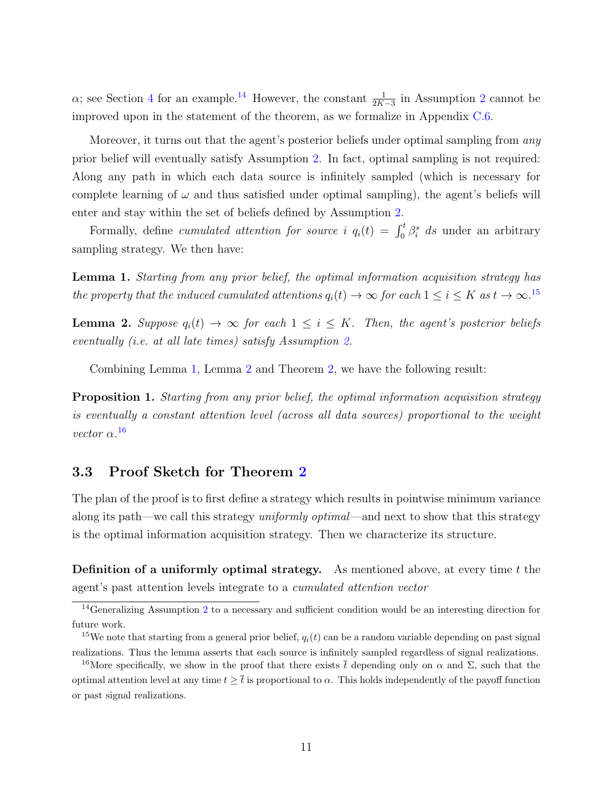$\alpha$ ; see Section [4](#page-13-0) for an example.<sup>[14](#page-11-0)</sup> However, the constant  $\frac{1}{2K-3}$  $\frac{1}{2K-3}$  $\frac{1}{2K-3}$  in Assumption 2 cannot be improved upon in the statement of the theorem, as we formalize in Appendix [C.6.](#page-29-0)

Moreover, it turns out that the agent's posterior beliefs under optimal sampling from any prior belief will eventually satisfy Assumption [2.](#page-9-2) In fact, optimal sampling is not required: Along any path in which each data source is infinitely sampled (which is necessary for complete learning of  $\omega$  and thus satisfied under optimal sampling), the agent's beliefs will enter and stay within the set of beliefs defined by Assumption [2.](#page-9-2)

Formally, define cumulated attention for source i  $q_i(t) = \int_0^t \beta_i^s ds$  under an arbitrary sampling strategy. We then have:

<span id="page-11-2"></span>Lemma 1. Starting from any prior belief, the optimal information acquisition strategy has the property that the induced cumulated attentions  $q_i(t) \to \infty$  for each  $1 \leq i \leq K$  as  $t \to \infty$ .<sup>[15](#page-11-1)</sup>

<span id="page-11-3"></span>**Lemma 2.** Suppose  $q_i(t) \to \infty$  for each  $1 \leq i \leq K$ . Then, the agent's posterior beliefs eventually (i.e. at all late times) satisfy Assumption [2.](#page-9-2)

Combining Lemma [1,](#page-11-2) Lemma [2](#page-11-3) and Theorem [2,](#page-10-0) we have the following result:

<span id="page-11-5"></span>Proposition 1. Starting from any prior belief, the optimal information acquisition strategy is eventually a constant attention level (across all data sources) proportional to the weight vector  $\alpha$ .<sup>[16](#page-11-4)</sup>

#### 3.3 Proof Sketch for Theorem [2](#page-10-0)

The plan of the proof is to first define a strategy which results in pointwise minimum variance along its path—we call this strategy *uniformly optimal—and next to show that this strategy* is the optimal information acquisition strategy. Then we characterize its structure.

**Definition of a uniformly optimal strategy.** As mentioned above, at every time  $t$  the agent's past attention levels integrate to a cumulated attention vector

<span id="page-11-0"></span><sup>&</sup>lt;sup>14</sup>Generalizing Assumption [2](#page-9-2) to a necessary and sufficient condition would be an interesting direction for future work.

<span id="page-11-1"></span><sup>&</sup>lt;sup>15</sup>We note that starting from a general prior belief,  $q_i(t)$  can be a random variable depending on past signal realizations. Thus the lemma asserts that each source is infinitely sampled regardless of signal realizations.

<span id="page-11-4"></span><sup>&</sup>lt;sup>16</sup>More specifically, we show in the proof that there exists  $\bar{t}$  depending only on  $\alpha$  and  $\Sigma$ , such that the optimal attention level at any time  $t \geq \overline{t}$  is proportional to  $\alpha$ . This holds independently of the payoff function or past signal realizations.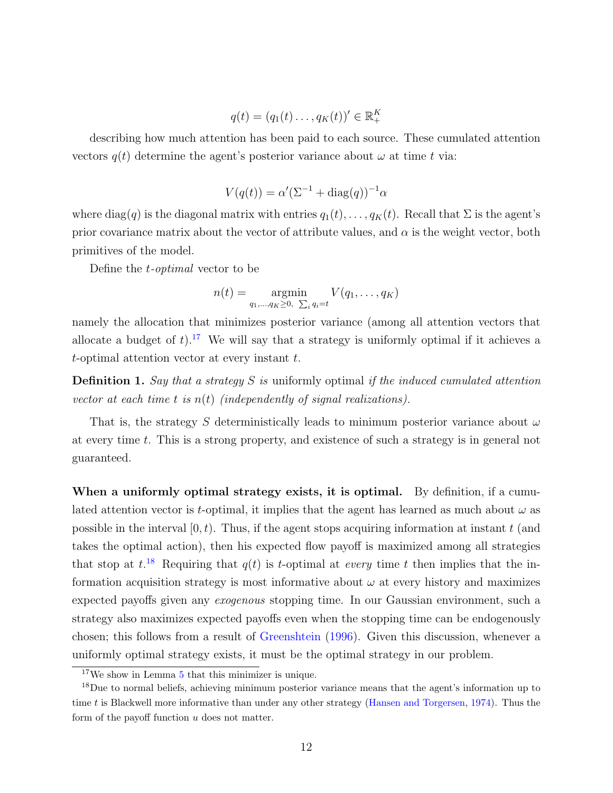$$
q(t) = (q_1(t) \dots, q_K(t))' \in \mathbb{R}_+^K
$$

describing how much attention has been paid to each source. These cumulated attention vectors  $q(t)$  determine the agent's posterior variance about  $\omega$  at time t via:

$$
V(q(t)) = \alpha'(\Sigma^{-1} + \text{diag}(q))^{-1}\alpha
$$

where diag(q) is the diagonal matrix with entries  $q_1(t), \ldots, q_K(t)$ . Recall that  $\Sigma$  is the agent's prior covariance matrix about the vector of attribute values, and  $\alpha$  is the weight vector, both primitives of the model.

Define the t-optimal vector to be

$$
n(t) = \operatorname*{argmin}_{q_1,\ldots,q_K \geq 0, \sum_i q_i = t} V(q_1,\ldots,q_K)
$$

namely the allocation that minimizes posterior variance (among all attention vectors that allocate a budget of  $t$ ).<sup>[17](#page-12-0)</sup> We will say that a strategy is uniformly optimal if it achieves a  $t$ -optimal attention vector at every instant  $t$ .

**Definition 1.** Say that a strategy S is uniformly optimal if the induced cumulated attention vector at each time t is  $n(t)$  (independently of signal realizations).

That is, the strategy S deterministically leads to minimum posterior variance about  $\omega$ at every time t. This is a strong property, and existence of such a strategy is in general not guaranteed.

When a uniformly optimal strategy exists, it is optimal. By definition, if a cumulated attention vector is t-optimal, it implies that the agent has learned as much about  $\omega$  as possible in the interval  $[0, t)$ . Thus, if the agent stops acquiring information at instant t (and takes the optimal action), then his expected flow payoff is maximized among all strategies that stop at  $t^{18}$  $t^{18}$  $t^{18}$ . Requiring that  $q(t)$  is t-optimal at every time t then implies that the information acquisition strategy is most informative about  $\omega$  at every history and maximizes expected payoffs given any exogenous stopping time. In our Gaussian environment, such a strategy also maximizes expected payoffs even when the stopping time can be endogenously chosen; this follows from a result of [Greenshtein](#page-38-14) [\(1996\)](#page-38-14). Given this discussion, whenever a uniformly optimal strategy exists, it must be the optimal strategy in our problem.

<span id="page-12-1"></span><span id="page-12-0"></span> $17$ We show in Lemma  $5$  that this minimizer is unique.

<sup>&</sup>lt;sup>18</sup>Due to normal beliefs, achieving minimum posterior variance means that the agent's information up to time t is Blackwell more informative than under any other strategy [\(Hansen and Torgersen,](#page-38-15) [1974\)](#page-38-15). Thus the form of the payoff function  $u$  does not matter.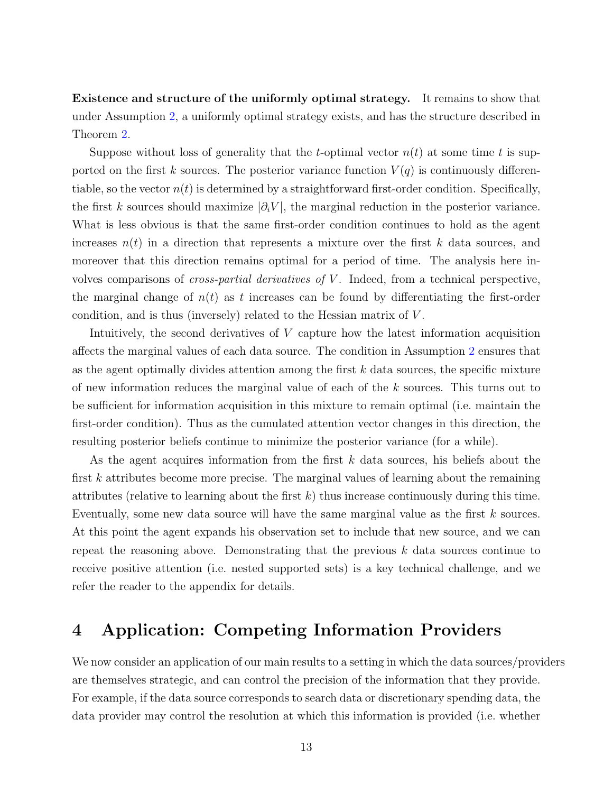Existence and structure of the uniformly optimal strategy. It remains to show that under Assumption [2,](#page-9-2) a uniformly optimal strategy exists, and has the structure described in Theorem [2.](#page-10-0)

Suppose without loss of generality that the t-optimal vector  $n(t)$  at some time t is supported on the first k sources. The posterior variance function  $V(q)$  is continuously differentiable, so the vector  $n(t)$  is determined by a straightforward first-order condition. Specifically, the first k sources should maximize  $|\partial_i V|$ , the marginal reduction in the posterior variance. What is less obvious is that the same first-order condition continues to hold as the agent increases  $n(t)$  in a direction that represents a mixture over the first k data sources, and moreover that this direction remains optimal for a period of time. The analysis here involves comparisons of cross-partial derivatives of V . Indeed, from a technical perspective, the marginal change of  $n(t)$  as t increases can be found by differentiating the first-order condition, and is thus (inversely) related to the Hessian matrix of V .

Intuitively, the second derivatives of V capture how the latest information acquisition affects the marginal values of each data source. The condition in Assumption [2](#page-9-2) ensures that as the agent optimally divides attention among the first  $k$  data sources, the specific mixture of new information reduces the marginal value of each of the  $k$  sources. This turns out to be sufficient for information acquisition in this mixture to remain optimal (i.e. maintain the first-order condition). Thus as the cumulated attention vector changes in this direction, the resulting posterior beliefs continue to minimize the posterior variance (for a while).

As the agent acquires information from the first  $k$  data sources, his beliefs about the first k attributes become more precise. The marginal values of learning about the remaining attributes (relative to learning about the first  $k$ ) thus increase continuously during this time. Eventually, some new data source will have the same marginal value as the first k sources. At this point the agent expands his observation set to include that new source, and we can repeat the reasoning above. Demonstrating that the previous k data sources continue to receive positive attention (i.e. nested supported sets) is a key technical challenge, and we refer the reader to the appendix for details.

# <span id="page-13-0"></span>4 Application: Competing Information Providers

We now consider an application of our main results to a setting in which the data sources/providers are themselves strategic, and can control the precision of the information that they provide. For example, if the data source corresponds to search data or discretionary spending data, the data provider may control the resolution at which this information is provided (i.e. whether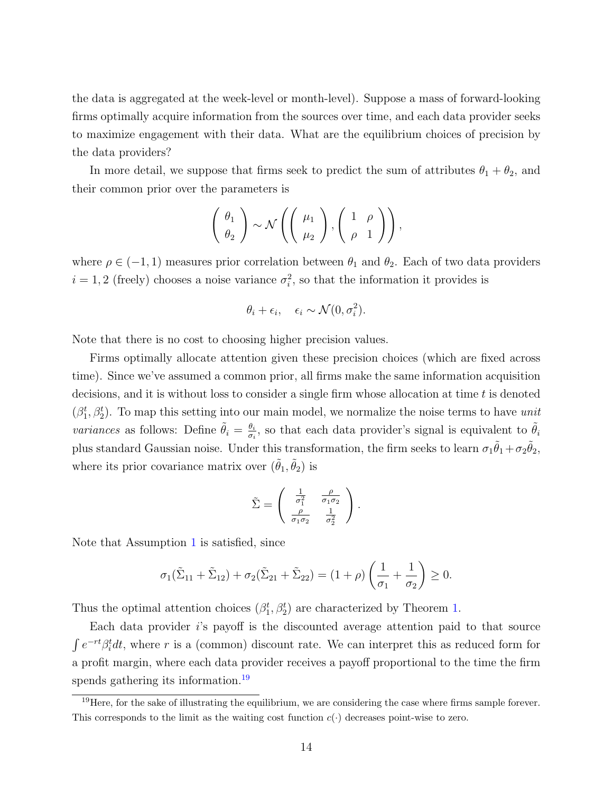the data is aggregated at the week-level or month-level). Suppose a mass of forward-looking firms optimally acquire information from the sources over time, and each data provider seeks to maximize engagement with their data. What are the equilibrium choices of precision by the data providers?

In more detail, we suppose that firms seek to predict the sum of attributes  $\theta_1 + \theta_2$ , and their common prior over the parameters is

$$
\left(\begin{array}{c}\theta_1\\\theta_2\end{array}\right)\sim\mathcal{N}\left(\left(\begin{array}{c}\mu_1\\\mu_2\end{array}\right),\left(\begin{array}{cc}1&\rho\\\rho&1\end{array}\right)\right),\,
$$

where  $\rho \in (-1, 1)$  measures prior correlation between  $\theta_1$  and  $\theta_2$ . Each of two data providers  $i = 1, 2$  (freely) chooses a noise variance  $\sigma_i^2$ , so that the information it provides is

$$
\theta_i + \epsilon_i, \quad \epsilon_i \sim \mathcal{N}(0, \sigma_i^2).
$$

Note that there is no cost to choosing higher precision values.

Firms optimally allocate attention given these precision choices (which are fixed across time). Since we've assumed a common prior, all firms make the same information acquisition decisions, and it is without loss to consider a single firm whose allocation at time  $t$  is denoted  $(\beta_1^t, \beta_2^t)$ . To map this setting into our main model, we normalize the noise terms to have unit *variances* as follows: Define  $\tilde{\theta}_i = \frac{\theta_i}{\sigma_i}$  $\frac{\theta_i}{\sigma_i}$ , so that each data provider's signal is equivalent to  $\tilde{\theta}_i$ plus standard Gaussian noise. Under this transformation, the firm seeks to learn  $\sigma_1 \tilde{\theta}_1 + \sigma_2 \tilde{\theta}_2$ , where its prior covariance matrix over  $(\tilde{\theta}_1, \tilde{\theta}_2)$  is

$$
\tilde{\Sigma} = \begin{pmatrix} \frac{1}{\sigma_1^2} & \frac{\rho}{\sigma_1 \sigma_2} \\ \frac{\rho}{\sigma_1 \sigma_2} & \frac{1}{\sigma_2^2} \end{pmatrix}.
$$

Note that Assumption [1](#page-8-1) is satisfied, since

$$
\sigma_1(\tilde{\Sigma}_{11}+\tilde{\Sigma}_{12})+\sigma_2(\tilde{\Sigma}_{21}+\tilde{\Sigma}_{22})=(1+\rho)\left(\frac{1}{\sigma_1}+\frac{1}{\sigma_2}\right)\geq 0.
$$

Thus the optimal attention choices  $(\beta_1^t, \beta_2^t)$  are characterized by Theorem [1.](#page-9-0)

Each data provider i's payoff is the discounted average attention paid to that source  $\int e^{-rt}\beta_t^t dt$ , where r is a (common) discount rate. We can interpret this as reduced form for a profit margin, where each data provider receives a payoff proportional to the time the firm spends gathering its information.<sup>[19](#page-14-0)</sup>

<span id="page-14-0"></span><sup>&</sup>lt;sup>19</sup>Here, for the sake of illustrating the equilibrium, we are considering the case where firms sample forever. This corresponds to the limit as the waiting cost function  $c(\cdot)$  decreases point-wise to zero.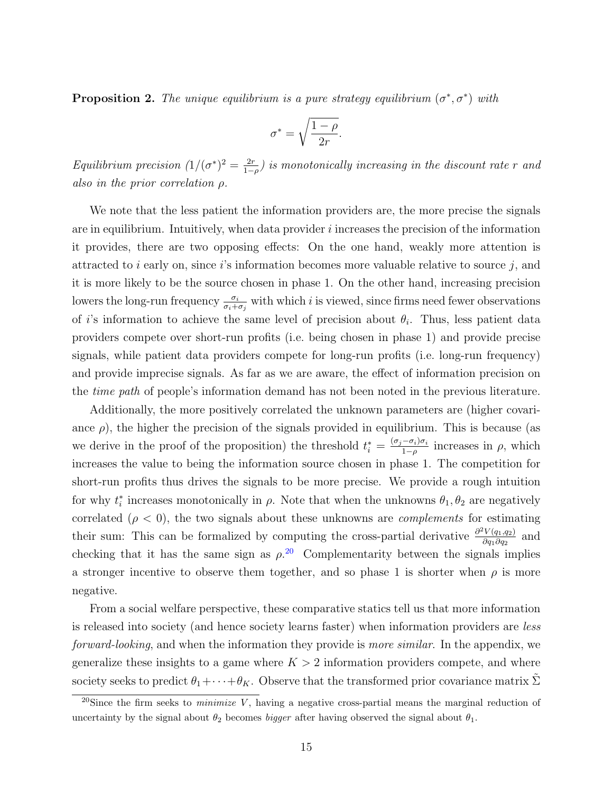<span id="page-15-1"></span>**Proposition 2.** The unique equilibrium is a pure strategy equilibrium  $(\sigma^*, \sigma^*)$  with

$$
\sigma^* = \sqrt{\frac{1-\rho}{2r}}.
$$

Equilibrium precision  $(1/(\sigma^*)^2 = \frac{2r}{1-r}$  $\frac{2r}{1-\rho}$ ) is monotonically increasing in the discount rate r and also in the prior correlation ρ.

We note that the less patient the information providers are, the more precise the signals are in equilibrium. Intuitively, when data provider  $i$  increases the precision of the information it provides, there are two opposing effects: On the one hand, weakly more attention is attracted to  $i$  early on, since  $i$ 's information becomes more valuable relative to source  $j$ , and it is more likely to be the source chosen in phase 1. On the other hand, increasing precision lowers the long-run frequency  $\frac{\sigma_i}{\sigma_i+\sigma_j}$  with which i is viewed, since firms need fewer observations of i's information to achieve the same level of precision about  $\theta_i$ . Thus, less patient data providers compete over short-run profits (i.e. being chosen in phase 1) and provide precise signals, while patient data providers compete for long-run profits (i.e. long-run frequency) and provide imprecise signals. As far as we are aware, the effect of information precision on the time path of people's information demand has not been noted in the previous literature.

Additionally, the more positively correlated the unknown parameters are (higher covariance  $\rho$ ), the higher the precision of the signals provided in equilibrium. This is because (as we derive in the proof of the proposition) the threshold  $t_i^* = \frac{(\sigma_j - \sigma_i)\sigma_i}{1-\rho}$  $\frac{(-\sigma_i)\sigma_i}{1-\rho}$  increases in  $\rho$ , which increases the value to being the information source chosen in phase 1. The competition for short-run profits thus drives the signals to be more precise. We provide a rough intuition for why  $t_i^*$  increases monotonically in  $\rho$ . Note that when the unknowns  $\theta_1, \theta_2$  are negatively correlated  $(\rho < 0)$ , the two signals about these unknowns are *complements* for estimating their sum: This can be formalized by computing the cross-partial derivative  $\frac{\partial^2 V(q_1,q_2)}{\partial q_1 \partial q_2}$  $\frac{\partial V(q_1,q_2)}{\partial q_1 \partial q_2}$  and checking that it has the same sign as  $\rho^{20}$  $\rho^{20}$  $\rho^{20}$  Complementarity between the signals implies a stronger incentive to observe them together, and so phase 1 is shorter when  $\rho$  is more negative.

From a social welfare perspective, these comparative statics tell us that more information is released into society (and hence society learns faster) when information providers are less forward-looking, and when the information they provide is more similar. In the appendix, we generalize these insights to a game where  $K > 2$  information providers compete, and where society seeks to predict  $\theta_1 + \cdots + \theta_K$ . Observe that the transformed prior covariance matrix  $\tilde{\Sigma}$ 

<span id="page-15-0"></span><sup>&</sup>lt;sup>20</sup>Since the firm seeks to *minimize* V, having a negative cross-partial means the marginal reduction of uncertainty by the signal about  $\theta_2$  becomes *bigger* after having observed the signal about  $\theta_1$ .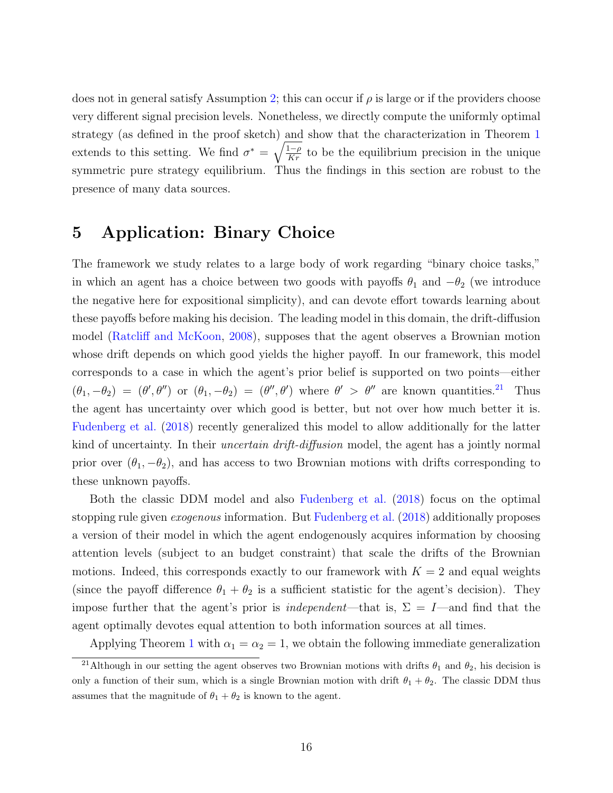does not in general satisfy Assumption [2;](#page-9-2) this can occur if  $\rho$  is large or if the providers choose very different signal precision levels. Nonetheless, we directly compute the uniformly optimal strategy (as defined in the proof sketch) and show that the characterization in Theorem [1](#page-9-0) extends to this setting. We find  $\sigma^* = \sqrt{\frac{1-\rho}{Kr}}$  to be the equilibrium precision in the unique symmetric pure strategy equilibrium. Thus the findings in this section are robust to the presence of many data sources.

# <span id="page-16-0"></span>5 Application: Binary Choice

The framework we study relates to a large body of work regarding "binary choice tasks," in which an agent has a choice between two goods with payoffs  $\theta_1$  and  $-\theta_2$  (we introduce the negative here for expositional simplicity), and can devote effort towards learning about these payoffs before making his decision. The leading model in this domain, the drift-diffusion model [\(Ratcliff and McKoon,](#page-39-2) [2008\)](#page-39-2), supposes that the agent observes a Brownian motion whose drift depends on which good yields the higher payoff. In our framework, this model corresponds to a case in which the agent's prior belief is supported on two points—either  $(\theta_1, -\theta_2) = (\theta', \theta'')$  or  $(\theta_1, -\theta_2) = (\theta'', \theta')$  where  $\theta' > \theta''$  are known quantities.<sup>[21](#page-16-1)</sup> Thus the agent has uncertainty over which good is better, but not over how much better it is. [Fudenberg et al.](#page-38-0) [\(2018\)](#page-38-0) recently generalized this model to allow additionally for the latter kind of uncertainty. In their *uncertain drift-diffusion* model, the agent has a jointly normal prior over  $(\theta_1, -\theta_2)$ , and has access to two Brownian motions with drifts corresponding to these unknown payoffs.

Both the classic DDM model and also [Fudenberg et al.](#page-38-0) [\(2018\)](#page-38-0) focus on the optimal stopping rule given exogenous information. But [Fudenberg et al.](#page-38-0) [\(2018\)](#page-38-0) additionally proposes a version of their model in which the agent endogenously acquires information by choosing attention levels (subject to an budget constraint) that scale the drifts of the Brownian motions. Indeed, this corresponds exactly to our framework with  $K = 2$  and equal weights (since the payoff difference  $\theta_1 + \theta_2$  is a sufficient statistic for the agent's decision). They impose further that the agent's prior is *independent*—that is,  $\Sigma = I$ —and find that the agent optimally devotes equal attention to both information sources at all times.

<span id="page-16-1"></span>Applying Theorem [1](#page-9-0) with  $\alpha_1 = \alpha_2 = 1$ , we obtain the following immediate generalization

<sup>&</sup>lt;sup>21</sup>Although in our setting the agent observes two Brownian motions with drifts  $\theta_1$  and  $\theta_2$ , his decision is only a function of their sum, which is a single Brownian motion with drift  $\theta_1 + \theta_2$ . The classic DDM thus assumes that the magnitude of  $\theta_1 + \theta_2$  is known to the agent.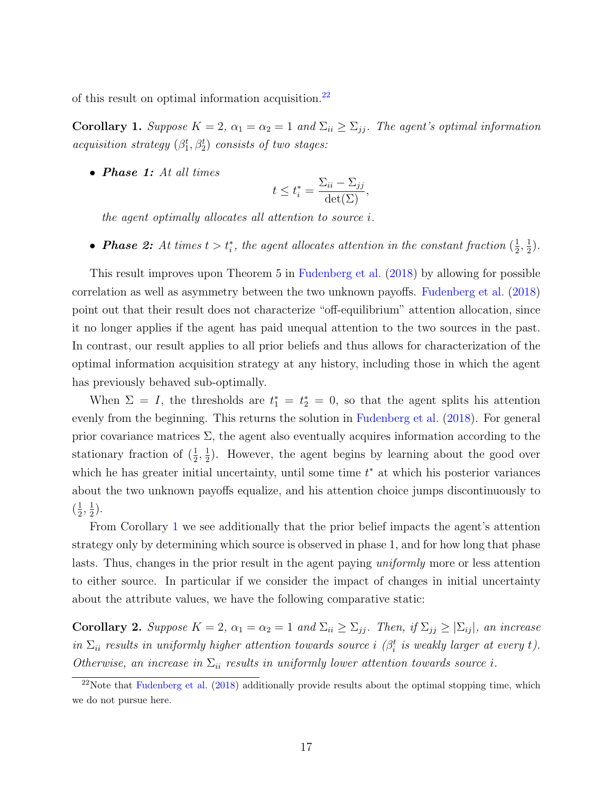of this result on optimal information acquisition.[22](#page-17-0)

<span id="page-17-1"></span>Corollary 1. Suppose  $K = 2$ ,  $\alpha_1 = \alpha_2 = 1$  and  $\Sigma_{ii} \geq \Sigma_{jj}$ . The agent's optimal information acquisition strategy  $(\beta_1^t, \beta_2^t)$  consists of two stages:

• Phase 1: At all times

$$
t \le t_i^* = \frac{\sum_{ii} - \sum_{jj}}{\det(\Sigma)},
$$

the agent optimally allocates all attention to source i.

• **Phase 2:** At times  $t > t_i^*$ , the agent allocates attention in the constant fraction  $(\frac{1}{2})$  $\frac{1}{2}, \frac{1}{2}$  $\frac{1}{2}$ .

This result improves upon Theorem 5 in [Fudenberg et al.](#page-38-0) [\(2018\)](#page-38-0) by allowing for possible correlation as well as asymmetry between the two unknown payoffs. [Fudenberg et al.](#page-38-0) [\(2018\)](#page-38-0) point out that their result does not characterize "off-equilibrium" attention allocation, since it no longer applies if the agent has paid unequal attention to the two sources in the past. In contrast, our result applies to all prior beliefs and thus allows for characterization of the optimal information acquisition strategy at any history, including those in which the agent has previously behaved sub-optimally.

When  $\Sigma = I$ , the thresholds are  $t_1^* = t_2^* = 0$ , so that the agent splits his attention evenly from the beginning. This returns the solution in [Fudenberg et al.](#page-38-0) [\(2018\)](#page-38-0). For general prior covariance matrices  $\Sigma$ , the agent also eventually acquires information according to the stationary fraction of  $(\frac{1}{2}, \frac{1}{2})$  $\frac{1}{2}$ ). However, the agent begins by learning about the good over which he has greater initial uncertainty, until some time  $t^*$  at which his posterior variances about the two unknown payoffs equalize, and his attention choice jumps discontinuously to  $\left(\frac{1}{2}\right)$  $\frac{1}{2}, \frac{1}{2}$  $(\frac{1}{2})$ .

From Corollary [1](#page-17-1) we see additionally that the prior belief impacts the agent's attention strategy only by determining which source is observed in phase 1, and for how long that phase lasts. Thus, changes in the prior result in the agent paying uniformly more or less attention to either source. In particular if we consider the impact of changes in initial uncertainty about the attribute values, we have the following comparative static:

Corollary 2. Suppose  $K = 2$ ,  $\alpha_1 = \alpha_2 = 1$  and  $\Sigma_{ii} \geq \Sigma_{jj}$ . Then, if  $\Sigma_{jj} \geq |\Sigma_{ij}|$ , an increase in  $\Sigma_{ii}$  results in uniformly higher attention towards source i ( $\beta_i^t$  is weakly larger at every t). Otherwise, an increase in  $\Sigma_{ii}$  results in uniformly lower attention towards source i.

<span id="page-17-0"></span> $22$ Note that [Fudenberg et al.](#page-38-0) [\(2018\)](#page-38-0) additionally provide results about the optimal stopping time, which we do not pursue here.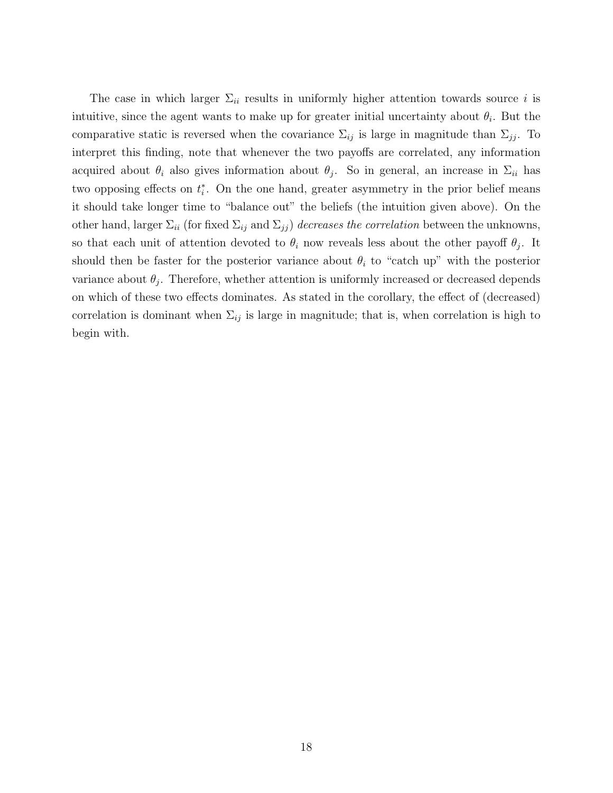The case in which larger  $\Sigma_{ii}$  results in uniformly higher attention towards source i is intuitive, since the agent wants to make up for greater initial uncertainty about  $\theta_i$ . But the comparative static is reversed when the covariance  $\Sigma_{ij}$  is large in magnitude than  $\Sigma_{jj}$ . To interpret this finding, note that whenever the two payoffs are correlated, any information acquired about  $\theta_i$  also gives information about  $\theta_j$ . So in general, an increase in  $\Sigma_{ii}$  has two opposing effects on  $t_i^*$ . On the one hand, greater asymmetry in the prior belief means it should take longer time to "balance out" the beliefs (the intuition given above). On the other hand, larger  $\Sigma_{ii}$  (for fixed  $\Sigma_{ij}$  and  $\Sigma_{jj}$ ) decreases the correlation between the unknowns, so that each unit of attention devoted to  $\theta_i$  now reveals less about the other payoff  $\theta_j$ . It should then be faster for the posterior variance about  $\theta_i$  to "catch up" with the posterior variance about  $\theta_j$ . Therefore, whether attention is uniformly increased or decreased depends on which of these two effects dominates. As stated in the corollary, the effect of (decreased) correlation is dominant when  $\Sigma_{ij}$  is large in magnitude; that is, when correlation is high to begin with.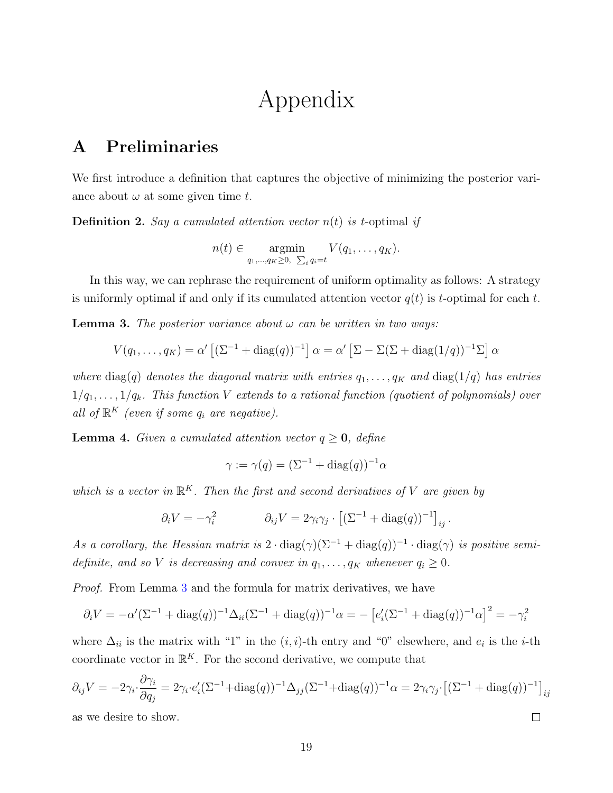# Appendix

# A Preliminaries

We first introduce a definition that captures the objective of minimizing the posterior variance about  $\omega$  at some given time t.

**Definition 2.** Say a cumulated attention vector  $n(t)$  is t-optimal if

$$
n(t) \in \underset{q_1,\ldots,q_K \geq 0, \ \sum_i q_i = t}{\operatorname{argmin}} V(q_1,\ldots,q_K).
$$

In this way, we can rephrase the requirement of uniform optimality as follows: A strategy is uniformly optimal if and only if its cumulated attention vector  $q(t)$  is t-optimal for each t.

<span id="page-19-0"></span>**Lemma 3.** The posterior variance about  $\omega$  can be written in two ways:

$$
V(q_1,\ldots,q_K)=\alpha'\left[(\Sigma^{-1}+\text{diag}(q))^{-1}\right]\alpha=\alpha'\left[\Sigma-\Sigma(\Sigma+\text{diag}(1/q))^{-1}\Sigma\right]\alpha
$$

where diag(q) denotes the diagonal matrix with entries  $q_1, \ldots, q_K$  and  $diag(1/q)$  has entries  $1/q_1, \ldots, 1/q_k$ . This function V extends to a rational function (quotient of polynomials) over all of  $\mathbb{R}^K$  (even if some  $q_i$  are negative).

<span id="page-19-1"></span>**Lemma 4.** Given a cumulated attention vector  $q \ge 0$ , define

$$
\gamma := \gamma(q) = (\Sigma^{-1} + \text{diag}(q))^{-1} \alpha
$$

which is a vector in  $\mathbb{R}^K$ . Then the first and second derivatives of V are given by

$$
\partial_i V = -\gamma_i^2 \qquad \qquad \partial_{ij} V = 2\gamma_i \gamma_j \cdot \left[ (\Sigma^{-1} + \text{diag}(q))^{-1} \right]_{ij}.
$$

As a corollary, the Hessian matrix is  $2 \cdot diag(\gamma)(\Sigma^{-1} + diag(q))^{-1} \cdot diag(\gamma)$  is positive semidefinite, and so V is decreasing and convex in  $q_1, \ldots, q_K$  whenever  $q_i \geq 0$ .

Proof. From Lemma [3](#page-19-0) and the formula for matrix derivatives, we have

$$
\partial_i V = -\alpha' (\Sigma^{-1} + \text{diag}(q))^{-1} \Delta_{ii} (\Sigma^{-1} + \text{diag}(q))^{-1} \alpha = -[e'_i (\Sigma^{-1} + \text{diag}(q))^{-1} \alpha]^2 = -\gamma_i^2
$$

where  $\Delta_{ii}$  is the matrix with "1" in the  $(i, i)$ -th entry and "0" elsewhere, and  $e_i$  is the *i*-th coordinate vector in  $\mathbb{R}^K$ . For the second derivative, we compute that

$$
\partial_{ij}V = -2\gamma_i \cdot \frac{\partial \gamma_i}{\partial q_j} = 2\gamma_i \cdot e_i' (\Sigma^{-1} + \text{diag}(q))^{-1} \Delta_{jj} (\Sigma^{-1} + \text{diag}(q))^{-1} \alpha = 2\gamma_i \gamma_j \cdot \left[ (\Sigma^{-1} + \text{diag}(q))^{-1} \right]_{ij}
$$

 $\Box$ 

as we desire to show.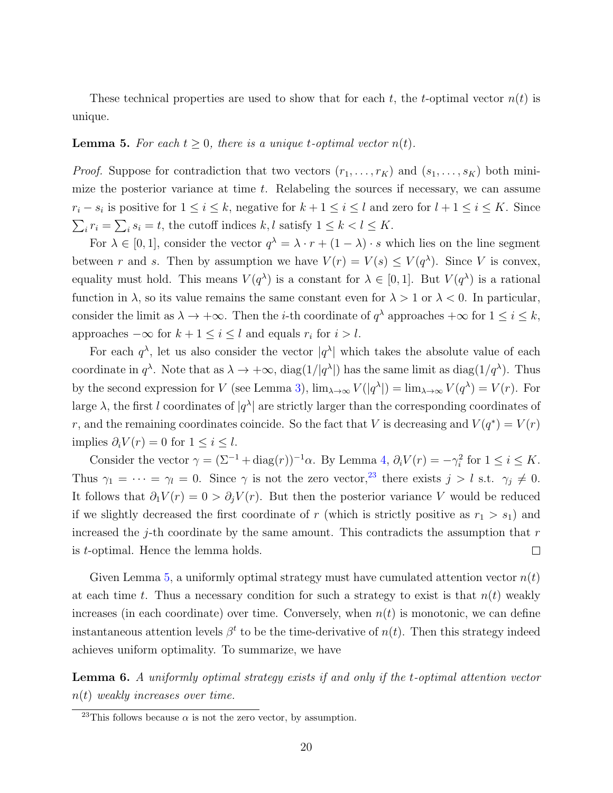These technical properties are used to show that for each t, the t-optimal vector  $n(t)$  is unique.

#### <span id="page-20-0"></span>**Lemma 5.** For each  $t > 0$ , there is a unique t-optimal vector  $n(t)$ .

*Proof.* Suppose for contradiction that two vectors  $(r_1, \ldots, r_K)$  and  $(s_1, \ldots, s_K)$  both minimize the posterior variance at time  $t$ . Relabeling the sources if necessary, we can assume  $r_i - s_i$  is positive for  $1 \leq i \leq k$ , negative for  $k + 1 \leq i \leq l$  and zero for  $l + 1 \leq i \leq K$ . Since  $\sum_i r_i = \sum_i s_i = t$ , the cutoff indices k, l satisfy  $1 \leq k < l \leq K$ .

For  $\lambda \in [0,1]$ , consider the vector  $q^{\lambda} = \lambda \cdot r + (1 - \lambda) \cdot s$  which lies on the line segment between r and s. Then by assumption we have  $V(r) = V(s) \le V(q^{\lambda})$ . Since V is convex, equality must hold. This means  $V(q^{\lambda})$  is a constant for  $\lambda \in [0,1]$ . But  $V(q^{\lambda})$  is a rational function in  $\lambda$ , so its value remains the same constant even for  $\lambda > 1$  or  $\lambda < 0$ . In particular, consider the limit as  $\lambda \to +\infty$ . Then the *i*-th coordinate of  $q^{\lambda}$  approaches  $+\infty$  for  $1 \leq i \leq k$ , approaches  $-\infty$  for  $k + 1 \le i \le l$  and equals  $r_i$  for  $i > l$ .

For each  $q^{\lambda}$ , let us also consider the vector  $|q^{\lambda}|$  which takes the absolute value of each coordinate in  $q^{\lambda}$ . Note that as  $\lambda \to +\infty$ , diag( $1/|q^{\lambda}|$ ) has the same limit as diag( $1/q^{\lambda}$ ). Thus by the second expression for V (see Lemma [3\)](#page-19-0),  $\lim_{\lambda \to \infty} V(|q^{\lambda}|) = \lim_{\lambda \to \infty} V(q^{\lambda}) = V(r)$ . For large  $\lambda$ , the first l coordinates of  $|q^{\lambda}|$  are strictly larger than the corresponding coordinates of r, and the remaining coordinates coincide. So the fact that V is decreasing and  $V(q^*) = V(r)$ implies  $\partial_i V(r) = 0$  for  $1 \leq i \leq l$ .

Consider the vector  $\gamma = (\Sigma^{-1} + \text{diag}(r))^{-1}\alpha$ . By Lemma [4,](#page-19-1)  $\partial_i V(r) = -\gamma_i^2$  for  $1 \le i \le K$ . Thus  $\gamma_1 = \cdots = \gamma_l = 0$ . Since  $\gamma$  is not the zero vector,<sup>[23](#page-20-1)</sup> there exists  $j > l$  s.t.  $\gamma_j \neq 0$ . It follows that  $\partial_1 V(r) = 0 > \partial_j V(r)$ . But then the posterior variance V would be reduced if we slightly decreased the first coordinate of r (which is strictly positive as  $r_1 > s_1$ ) and increased the j-th coordinate by the same amount. This contradicts the assumption that  $r$ is t-optimal. Hence the lemma holds.  $\Box$ 

Given Lemma [5,](#page-20-0) a uniformly optimal strategy must have cumulated attention vector  $n(t)$ at each time t. Thus a necessary condition for such a strategy to exist is that  $n(t)$  weakly increases (in each coordinate) over time. Conversely, when  $n(t)$  is monotonic, we can define instantaneous attention levels  $\beta^t$  to be the time-derivative of  $n(t)$ . Then this strategy indeed achieves uniform optimality. To summarize, we have

Lemma 6. A uniformly optimal strategy exists if and only if the t-optimal attention vector  $n(t)$  weakly increases over time.

<span id="page-20-1"></span><sup>&</sup>lt;sup>23</sup>This follows because  $\alpha$  is not the zero vector, by assumption.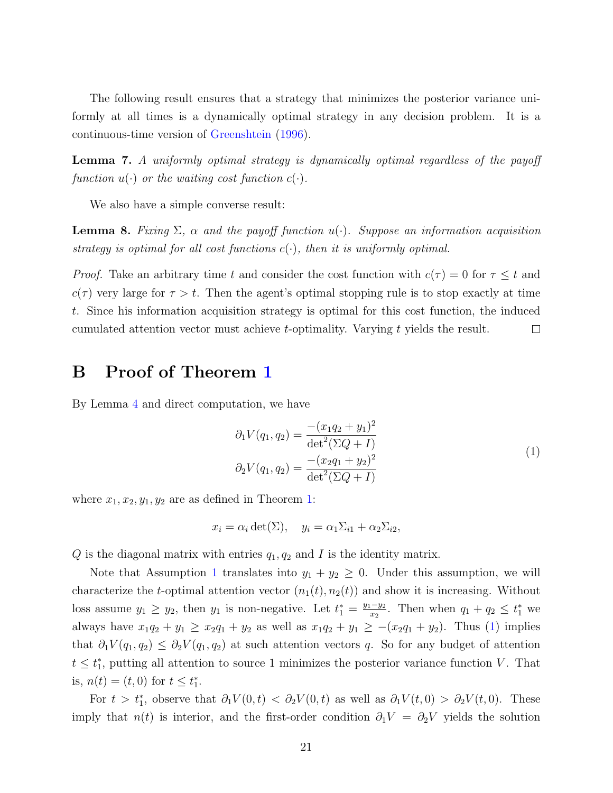The following result ensures that a strategy that minimizes the posterior variance uniformly at all times is a dynamically optimal strategy in any decision problem. It is a continuous-time version of [Greenshtein](#page-38-14) [\(1996\)](#page-38-14).

<span id="page-21-2"></span>Lemma 7. A uniformly optimal strategy is dynamically optimal regardless of the payoff function  $u(\cdot)$  or the waiting cost function  $c(\cdot)$ .

We also have a simple converse result:

<span id="page-21-0"></span>**Lemma 8.** Fixing  $\Sigma$ ,  $\alpha$  and the payoff function  $u(\cdot)$ . Suppose an information acquisition strategy is optimal for all cost functions  $c(\cdot)$ , then it is uniformly optimal.

*Proof.* Take an arbitrary time t and consider the cost function with  $c(\tau) = 0$  for  $\tau \leq t$  and  $c(\tau)$  very large for  $\tau > t$ . Then the agent's optimal stopping rule is to stop exactly at time t. Since his information acquisition strategy is optimal for this cost function, the induced cumulated attention vector must achieve t-optimality. Varying t yields the result.  $\Box$ 

# B Proof of Theorem [1](#page-9-0)

<span id="page-21-1"></span>By Lemma [4](#page-19-1) and direct computation, we have

$$
\partial_1 V(q_1, q_2) = \frac{-(x_1 q_2 + y_1)^2}{\det^2(\Sigma Q + I)}
$$
  
\n
$$
\partial_2 V(q_1, q_2) = \frac{-(x_2 q_1 + y_2)^2}{\det^2(\Sigma Q + I)}
$$
\n(1)

where  $x_1, x_2, y_1, y_2$  are as defined in Theorem [1:](#page-9-0)

$$
x_i = \alpha_i \det(\Sigma), \quad y_i = \alpha_1 \Sigma_{i1} + \alpha_2 \Sigma_{i2},
$$

 $Q$  is the diagonal matrix with entries  $q_1, q_2$  and  $I$  is the identity matrix.

Note that Assumption [1](#page-8-1) translates into  $y_1 + y_2 \geq 0$ . Under this assumption, we will characterize the t-optimal attention vector  $(n_1(t), n_2(t))$  and show it is increasing. Without loss assume  $y_1 \ge y_2$ , then  $y_1$  is non-negative. Let  $t_1^* = \frac{y_1 - y_2}{x_2}$  $\frac{-y_2}{x_2}$ . Then when  $q_1 + q_2 \leq t_1^*$  we always have  $x_1q_2 + y_1 \ge x_2q_1 + y_2$  as well as  $x_1q_2 + y_1 \ge -(x_2q_1 + y_2)$ . Thus [\(1\)](#page-21-1) implies that  $\partial_1 V(q_1, q_2) \leq \partial_2 V(q_1, q_2)$  at such attention vectors q. So for any budget of attention  $t \leq t_1^*$ , putting all attention to source 1 minimizes the posterior variance function V. That is,  $n(t) = (t, 0)$  for  $t \leq t_1^*$ .

For  $t > t_1^*$ , observe that  $\partial_1 V(0, t) < \partial_2 V(0, t)$  as well as  $\partial_1 V(t, 0) > \partial_2 V(t, 0)$ . These imply that  $n(t)$  is interior, and the first-order condition  $\partial_1 V = \partial_2 V$  yields the solution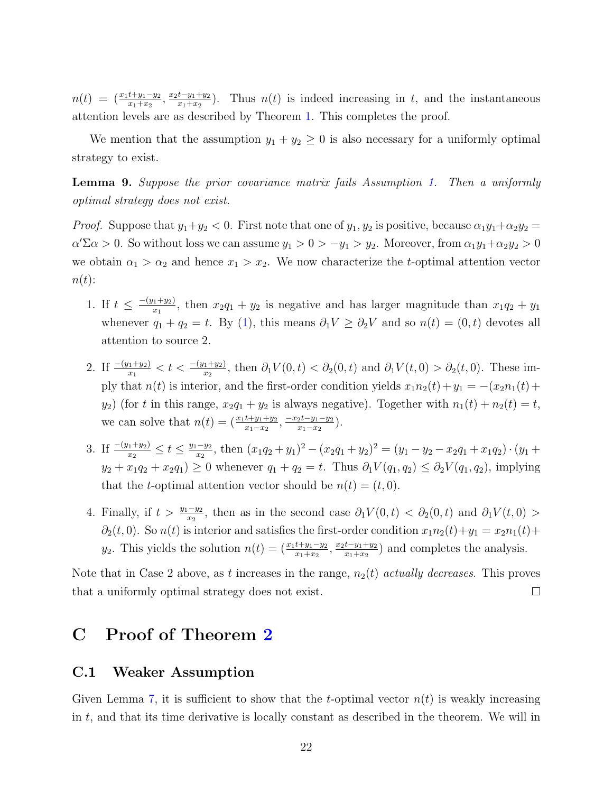$n(t) = \left(\frac{x_1t+y_1-y_2}{x_1+x_2}, \frac{x_2t-y_1+y_2}{x_1+x_2}\right)$  $\frac{t-y_1+y_2}{x_1+x_2}$ . Thus  $n(t)$  is indeed increasing in t, and the instantaneous attention levels are as described by Theorem [1.](#page-9-0) This completes the proof.

We mention that the assumption  $y_1 + y_2 \geq 0$  is also necessary for a uniformly optimal strategy to exist.

<span id="page-22-0"></span>Lemma 9. Suppose the prior covariance matrix fails Assumption [1.](#page-8-1) Then a uniformly optimal strategy does not exist.

*Proof.* Suppose that  $y_1 + y_2 < 0$ . First note that one of  $y_1, y_2$  is positive, because  $\alpha_1 y_1 + \alpha_2 y_2 =$  $\alpha' \Sigma \alpha > 0$ . So without loss we can assume  $y_1 > 0 > -y_1 > y_2$ . Moreover, from  $\alpha_1 y_1 + \alpha_2 y_2 > 0$ we obtain  $\alpha_1 > \alpha_2$  and hence  $x_1 > x_2$ . We now characterize the *t*-optimal attention vector  $n(t)$ :

- 1. If  $t \leq \frac{-(y_1+y_2)}{x_1}$  $\frac{(x_1+y_2)}{(x_1)}$ , then  $x_2q_1 + y_2$  is negative and has larger magnitude than  $x_1q_2 + y_1$ whenever  $q_1 + q_2 = t$ . By [\(1\)](#page-21-1), this means  $\partial_1 V \geq \partial_2 V$  and so  $n(t) = (0, t)$  devotes all attention to source 2.
- 2. If  $\frac{-(y_1+y_2)}{x_1} < t < \frac{-(y_1+y_2)}{x_2}$ , then  $\partial_1 V(0,t) < \partial_2(0,t)$  and  $\partial_1 V(t,0) > \partial_2(t,0)$ . These imply that  $n(t)$  is interior, and the first-order condition yields  $x_1n_2(t) + y_1 = -(x_2n_1(t) +$  $y_2$ ) (for t in this range,  $x_2q_1 + y_2$  is always negative). Together with  $n_1(t) + n_2(t) = t$ , we can solve that  $n(t) = (\frac{x_1t+y_1+y_2}{x_1-x_2}, \frac{-x_2t-y_1-y_2}{x_1-x_2})$  $\frac{2t-y_1-y_2}{x_1-x_2}$ .
- 3. If  $\frac{-(y_1+y_2)}{x_2} \le t \le \frac{y_1-y_2}{x_2}$  $\frac{-y_2}{x_2}$ , then  $(x_1q_2+y_1)^2 - (x_2q_1+y_2)^2 = (y_1-y_2-x_2q_1+x_1q_2) \cdot (y_1+y_2)$  $y_2 + x_1q_2 + x_2q_1 \geq 0$  whenever  $q_1 + q_2 = t$ . Thus  $\partial_1 V(q_1, q_2) \leq \partial_2 V(q_1, q_2)$ , implying that the t-optimal attention vector should be  $n(t) = (t, 0)$ .
- 4. Finally, if  $t > \frac{y_1 y_2}{x_2}$ , then as in the second case  $\partial_1 V(0, t) < \partial_2(0, t)$  and  $\partial_1 V(t, 0) >$  $\partial_2(t,0)$ . So  $n(t)$  is interior and satisfies the first-order condition  $x_1n_2(t)+y_1 = x_2n_1(t) +$  $y_2$ . This yields the solution  $n(t) = (\frac{x_1t+y_1-y_2}{x_1+x_2}, \frac{x_2t-y_1+y_2}{x_1+x_2})$  $\frac{t-y_1+y_2}{x_1+x_2}$  and completes the analysis.

Note that in Case 2 above, as t increases in the range,  $n_2(t)$  actually decreases. This proves that a uniformly optimal strategy does not exist.  $\Box$ 

# C Proof of Theorem [2](#page-10-0)

#### C.1 Weaker Assumption

Given Lemma [7,](#page-21-2) it is sufficient to show that the t-optimal vector  $n(t)$  is weakly increasing in  $t$ , and that its time derivative is locally constant as described in the theorem. We will in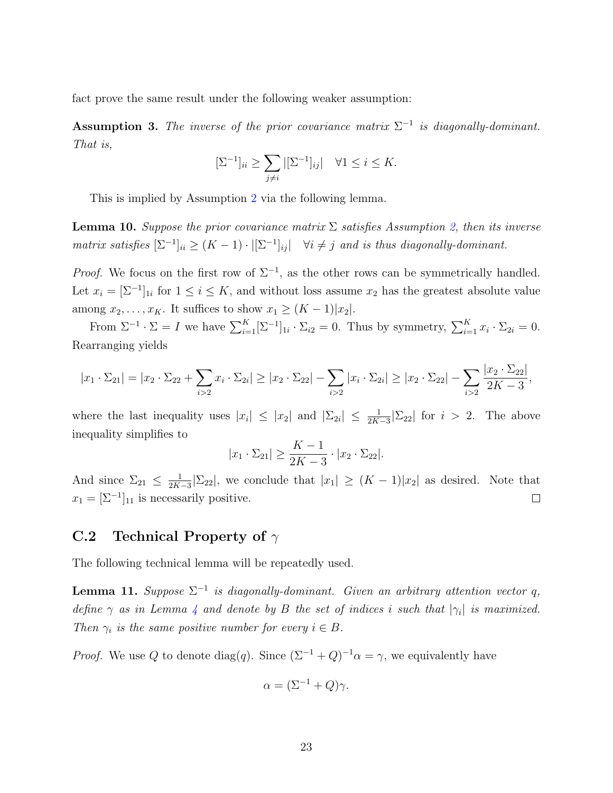fact prove the same result under the following weaker assumption:

<span id="page-23-0"></span>**Assumption 3.** The inverse of the prior covariance matrix  $\Sigma^{-1}$  is diagonally-dominant. That is,

$$
[\Sigma^{-1}]_{ii} \ge \sum_{j \ne i} |[\Sigma^{-1}]_{ij}| \quad \forall 1 \le i \le K.
$$

This is implied by Assumption [2](#page-9-2) via the following lemma.

**Lemma 10.** Suppose the prior covariance matrix  $\Sigma$  satisfies Assumption [2,](#page-9-2) then its inverse matrix satisfies  $[\Sigma^{-1}]_{ii} \ge (K-1) \cdot |[\Sigma^{-1}]_{ij}|$   $\forall i \neq j$  and is thus diagonally-dominant.

*Proof.* We focus on the first row of  $\Sigma^{-1}$ , as the other rows can be symmetrically handled. Let  $x_i = [\Sigma^{-1}]_{1i}$  for  $1 \le i \le K$ , and without loss assume  $x_2$  has the greatest absolute value among  $x_2, \ldots, x_K$ . It suffices to show  $x_1 \geq (K-1)|x_2|$ .

From  $\Sigma^{-1} \cdot \Sigma = I$  we have  $\sum_{i=1}^{K} [\Sigma^{-1}]_{1i} \cdot \Sigma_{i2} = 0$ . Thus by symmetry,  $\sum_{i=1}^{K} x_i \cdot \Sigma_{2i} = 0$ . Rearranging yields

$$
|x_1 \cdot \Sigma_{21}| = |x_2 \cdot \Sigma_{22} + \sum_{i>2} x_i \cdot \Sigma_{2i}| \ge |x_2 \cdot \Sigma_{22}| - \sum_{i>2} |x_i \cdot \Sigma_{2i}| \ge |x_2 \cdot \Sigma_{22}| - \sum_{i>2} \frac{|x_2 \cdot \Sigma_{22}|}{2K - 3},
$$

where the last inequality uses  $|x_i| \leq |x_2|$  and  $|\Sigma_{2i}| \leq \frac{1}{2K-3}|\Sigma_{22}|$  for  $i > 2$ . The above inequality simplifies to

$$
|x_1 \cdot \Sigma_{21}| \ge \frac{K-1}{2K-3} \cdot |x_2 \cdot \Sigma_{22}|.
$$

And since  $\Sigma_{21} \leq \frac{1}{2K}$  $\frac{1}{2K-3}|\Sigma_{22}|$ , we conclude that  $|x_1| \geq (K-1)|x_2|$  as desired. Note that  $x_1 = [\Sigma^{-1}]_{11}$  is necessarily positive.  $\Box$ 

#### C.2 Technical Property of  $\gamma$

The following technical lemma will be repeatedly used.

<span id="page-23-1"></span>**Lemma 11.** Suppose  $\Sigma^{-1}$  is diagonally-dominant. Given an arbitrary attention vector q, define  $\gamma$  as in Lemma [4](#page-19-1) and denote by B the set of indices i such that  $|\gamma_i|$  is maximized. Then  $\gamma_i$  is the same positive number for every  $i \in B$ .

*Proof.* We use Q to denote diag(q). Since  $(\Sigma^{-1} + Q)^{-1}\alpha = \gamma$ , we equivalently have

$$
\alpha = (\Sigma^{-1} + Q)\gamma.
$$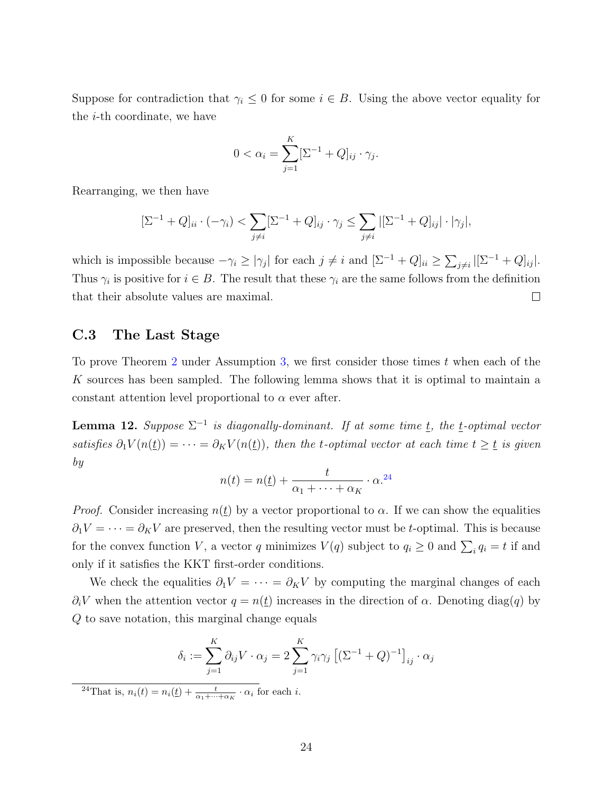Suppose for contradiction that  $\gamma_i \leq 0$  for some  $i \in B$ . Using the above vector equality for the i-th coordinate, we have

$$
0 < \alpha_i = \sum_{j=1}^K [\Sigma^{-1} + Q]_{ij} \cdot \gamma_j.
$$

Rearranging, we then have

$$
[\Sigma^{-1} + Q]_{ii} \cdot (-\gamma_i) < \sum_{j \neq i} [\Sigma^{-1} + Q]_{ij} \cdot \gamma_j \leq \sum_{j \neq i} |[\Sigma^{-1} + Q]_{ij}| \cdot |\gamma_j|,
$$

which is impossible because  $-\gamma_i \ge |\gamma_j|$  for each  $j \ne i$  and  $[\Sigma^{-1} + Q]_{ii} \ge \sum_{j \ne i} |[\Sigma^{-1} + Q]_{ij}|$ . Thus  $\gamma_i$  is positive for  $i \in B$ . The result that these  $\gamma_i$  are the same follows from the definition that their absolute values are maximal.  $\Box$ 

#### C.3 The Last Stage

To prove Theorem [2](#page-10-0) under Assumption [3,](#page-23-0) we first consider those times t when each of the K sources has been sampled. The following lemma shows that it is optimal to maintain a constant attention level proportional to  $\alpha$  ever after.

<span id="page-24-1"></span>**Lemma 12.** Suppose  $\Sigma^{-1}$  is diagonally-dominant. If at some time  $\underline{t}$ , the  $\underline{t}$ -optimal vector satisfies  $\partial_1 V(n(\underline{t})) = \cdots = \partial_K V(n(\underline{t}))$ , then the t-optimal vector at each time  $t \geq \underline{t}$  is given by

$$
n(t) = n(\underline{t}) + \frac{t}{\alpha_1 + \dots + \alpha_K} \cdot \alpha^{24}
$$

*Proof.* Consider increasing  $n(\underline{t})$  by a vector proportional to  $\alpha$ . If we can show the equalities  $\partial_1 V = \cdots = \partial_K V$  are preserved, then the resulting vector must be t-optimal. This is because for the convex function V, a vector q minimizes  $V(q)$  subject to  $q_i \ge 0$  and  $\sum_i q_i = t$  if and only if it satisfies the KKT first-order conditions.

We check the equalities  $\partial_1 V = \cdots = \partial_K V$  by computing the marginal changes of each  $\partial_i V$  when the attention vector  $q = n(\underline{t})$  increases in the direction of  $\alpha$ . Denoting diag(q) by Q to save notation, this marginal change equals

$$
\delta_i := \sum_{j=1}^K \partial_{ij} V \cdot \alpha_j = 2 \sum_{j=1}^K \gamma_i \gamma_j \left[ (\Sigma^{-1} + Q)^{-1} \right]_{ij} \cdot \alpha_j
$$

<span id="page-24-0"></span><sup>24</sup>That is,  $n_i(t) = n_i(\underline{t}) + \frac{t}{\alpha_1 + \cdots + \alpha_K} \cdot \alpha_i$  for each *i*.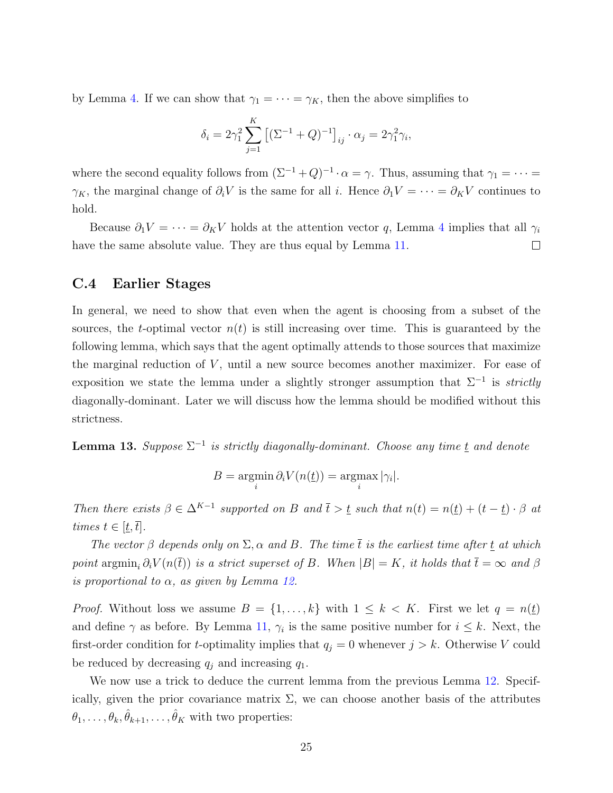by Lemma [4.](#page-19-1) If we can show that  $\gamma_1 = \cdots = \gamma_K$ , then the above simplifies to

$$
\delta_i = 2\gamma_1^2 \sum_{j=1}^K \left[ (\Sigma^{-1} + Q)^{-1} \right]_{ij} \cdot \alpha_j = 2\gamma_1^2 \gamma_i,
$$

where the second equality follows from  $(\Sigma^{-1} + Q)^{-1} \cdot \alpha = \gamma$ . Thus, assuming that  $\gamma_1 = \cdots =$  $\gamma_K$ , the marginal change of  $\partial_i V$  is the same for all i. Hence  $\partial_1 V = \cdots = \partial_K V$  continues to hold.

Because  $\partial_1 V = \cdots = \partial_K V$  holds at the attention vector q, Lemma [4](#page-19-1) implies that all  $\gamma_i$ have the same absolute value. They are thus equal by Lemma [11.](#page-23-1)  $\Box$ 

#### C.4 Earlier Stages

In general, we need to show that even when the agent is choosing from a subset of the sources, the t-optimal vector  $n(t)$  is still increasing over time. This is guaranteed by the following lemma, which says that the agent optimally attends to those sources that maximize the marginal reduction of  $V$ , until a new source becomes another maximizer. For ease of exposition we state the lemma under a slightly stronger assumption that  $\Sigma^{-1}$  is *strictly* diagonally-dominant. Later we will discuss how the lemma should be modified without this strictness.

<span id="page-25-0"></span>**Lemma 13.** Suppose  $\Sigma^{-1}$  is strictly diagonally-dominant. Choose any time  $\underline{t}$  and denote

$$
B = \operatorname*{argmin}_{i} \partial_{i} V(n(\underline{t})) = \operatorname*{argmax}_{i} |\gamma_{i}|.
$$

Then there exists  $\beta \in \Delta^{K-1}$  supported on B and  $\overline{t} > \underline{t}$  such that  $n(t) = n(\underline{t}) + (t - \underline{t}) \cdot \beta$  at times  $t \in [\underline{t}, \overline{t}].$ 

The vector  $\beta$  depends only on  $\Sigma$ ,  $\alpha$  and  $B$ . The time  $\overline{t}$  is the earliest time after t at which point argmin<sub>i</sub>  $\partial_i V(n(\bar{t}))$  is a strict superset of B. When  $|B| = K$ , it holds that  $\bar{t} = \infty$  and  $\beta$ is proportional to  $\alpha$ , as given by Lemma [12.](#page-24-1)

*Proof.* Without loss we assume  $B = \{1, \ldots, k\}$  with  $1 \leq k < K$ . First we let  $q = n(\underline{t})$ and define  $\gamma$  as before. By Lemma [11,](#page-23-1)  $\gamma_i$  is the same positive number for  $i \leq k$ . Next, the first-order condition for t-optimality implies that  $q_j = 0$  whenever  $j > k$ . Otherwise V could be reduced by decreasing  $q_i$  and increasing  $q_1$ .

We now use a trick to deduce the current lemma from the previous Lemma [12.](#page-24-1) Specifically, given the prior covariance matrix  $\Sigma$ , we can choose another basis of the attributes  $\theta_1, \ldots, \theta_k, \hat{\theta}_{k+1}, \ldots, \hat{\theta}_K$  with two properties: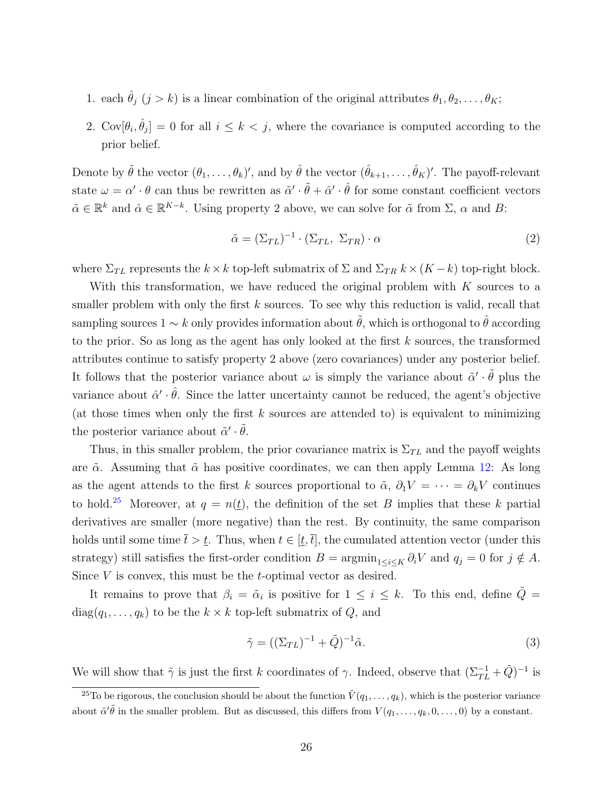- 1. each  $\hat{\theta}_j$   $(j > k)$  is a linear combination of the original attributes  $\theta_1, \theta_2, \ldots, \theta_K$ ;
- 2.  $Cov[\theta_i, \hat{\theta}_j] = 0$  for all  $i \leq k < j$ , where the covariance is computed according to the prior belief.

Denote by  $\tilde{\theta}$  the vector  $(\theta_1,\ldots,\theta_k)'$ , and by  $\hat{\theta}$  the vector  $(\hat{\theta}_{k+1},\ldots,\hat{\theta}_K)'$ . The payoff-relevant state  $\omega = \alpha' \cdot \theta$  can thus be rewritten as  $\tilde{\alpha}' \cdot \tilde{\theta} + \hat{\alpha}' \cdot \hat{\theta}$  for some constant coefficient vectors  $\tilde{\alpha} \in \mathbb{R}^k$  and  $\hat{\alpha} \in \mathbb{R}^{K-k}$ . Using property 2 above, we can solve for  $\tilde{\alpha}$  from  $\Sigma$ ,  $\alpha$  and  $B$ :

<span id="page-26-1"></span>
$$
\tilde{\alpha} = (\Sigma_{TL})^{-1} \cdot (\Sigma_{TL}, \ \Sigma_{TR}) \cdot \alpha \tag{2}
$$

where  $\Sigma_{TL}$  represents the  $k \times k$  top-left submatrix of  $\Sigma$  and  $\Sigma_{TR}$   $k \times (K - k)$  top-right block.

With this transformation, we have reduced the original problem with  $K$  sources to a smaller problem with only the first  $k$  sources. To see why this reduction is valid, recall that sampling sources  $1 \sim k$  only provides information about  $\tilde{\theta}$ , which is orthogonal to  $\hat{\theta}$  according to the prior. So as long as the agent has only looked at the first  $k$  sources, the transformed attributes continue to satisfy property 2 above (zero covariances) under any posterior belief. It follows that the posterior variance about  $\omega$  is simply the variance about  $\tilde{\alpha}' \cdot \tilde{\theta}$  plus the variance about  $\hat{\alpha}' \cdot \hat{\theta}$ . Since the latter uncertainty cannot be reduced, the agent's objective (at those times when only the first  $k$  sources are attended to) is equivalent to minimizing the posterior variance about  $\tilde{\alpha}' \cdot \tilde{\theta}$ .

Thus, in this smaller problem, the prior covariance matrix is  $\Sigma_{TL}$  and the payoff weights are  $\tilde{\alpha}$ . Assuming that  $\tilde{\alpha}$  has positive coordinates, we can then apply Lemma [12:](#page-24-1) As long as the agent attends to the first k sources proportional to  $\tilde{\alpha}$ ,  $\partial_1 V = \cdots = \partial_k V$  continues to hold.<sup>[25](#page-26-0)</sup> Moreover, at  $q = n(t)$ , the definition of the set B implies that these k partial derivatives are smaller (more negative) than the rest. By continuity, the same comparison holds until some time  $\bar{t} > \underline{t}$ . Thus, when  $t \in [\underline{t}, \overline{t}]$ , the cumulated attention vector (under this strategy) still satisfies the first-order condition  $B = \operatorname{argmin}_{1 \le i \le K} \partial_i V$  and  $q_j = 0$  for  $j \notin A$ . Since  $V$  is convex, this must be the  $t$ -optimal vector as desired.

It remains to prove that  $\beta_i = \tilde{\alpha}_i$  is positive for  $1 \leq i \leq k$ . To this end, define  $\tilde{Q} =$  $diag(q_1, \ldots, q_k)$  to be the  $k \times k$  top-left submatrix of  $Q$ , and

<span id="page-26-2"></span>
$$
\tilde{\gamma} = ((\Sigma_{TL})^{-1} + \tilde{Q})^{-1}\tilde{\alpha}.
$$
\n(3)

We will show that  $\tilde{\gamma}$  is just the first k coordinates of  $\gamma$ . Indeed, observe that  $(\Sigma_{TL}^{-1} + \tilde{Q})^{-1}$  is

<span id="page-26-0"></span><sup>&</sup>lt;sup>25</sup>To be rigorous, the conclusion should be about the function  $\tilde{V}(q_1,\ldots,q_k)$ , which is the posterior variance about  $\tilde{\alpha}'\tilde{\theta}$  in the smaller problem. But as discussed, this differs from  $V(q_1,\ldots,q_k,0,\ldots,0)$  by a constant.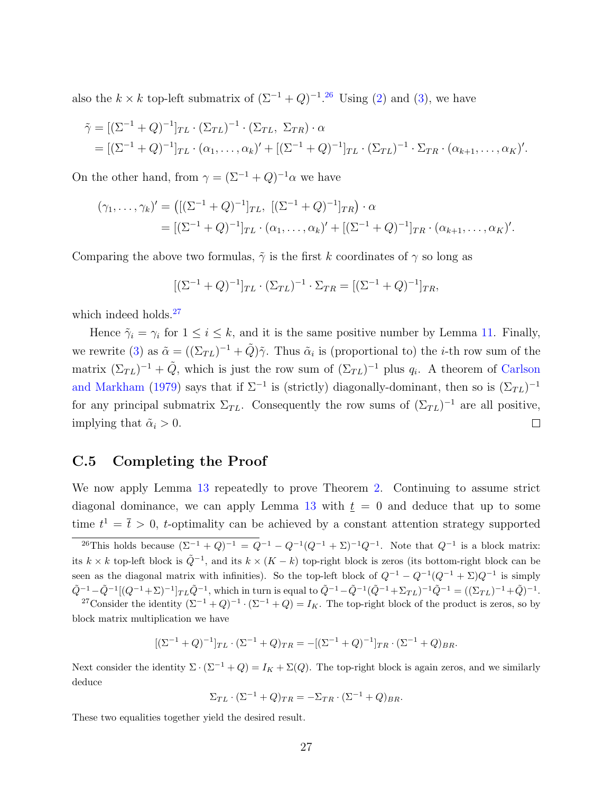also the  $k \times k$  top-left submatrix of  $(\Sigma^{-1} + Q)^{-1}$ .<sup>[26](#page-27-0)</sup> Using [\(2\)](#page-26-1) and [\(3\)](#page-26-2), we have

$$
\tilde{\gamma} = [(\Sigma^{-1} + Q)^{-1}]_{TL} \cdot (\Sigma_{TL})^{-1} \cdot (\Sigma_{TL}, \Sigma_{TR}) \cdot \alpha
$$
  
= 
$$
[(\Sigma^{-1} + Q)^{-1}]_{TL} \cdot (\alpha_1, \dots, \alpha_k)' + [(\Sigma^{-1} + Q)^{-1}]_{TL} \cdot (\Sigma_{TL})^{-1} \cdot \Sigma_{TR} \cdot (\alpha_{k+1}, \dots, \alpha_k)'.
$$

On the other hand, from  $\gamma = (\Sigma^{-1} + Q)^{-1} \alpha$  we have

$$
(\gamma_1, \ldots, \gamma_k)' = \left( [(\Sigma^{-1} + Q)^{-1}]_{TL}, \, [(\Sigma^{-1} + Q)^{-1}]_{TR} \right) \cdot \alpha
$$
  
= 
$$
[ (\Sigma^{-1} + Q)^{-1}]_{TL} \cdot (\alpha_1, \ldots, \alpha_k)' + [(\Sigma^{-1} + Q)^{-1}]_{TR} \cdot (\alpha_{k+1}, \ldots, \alpha_k)'.
$$

Comparing the above two formulas,  $\tilde{\gamma}$  is the first k coordinates of  $\gamma$  so long as

$$
[(\Sigma^{-1} + Q)^{-1}]_{TL} \cdot (\Sigma_{TL})^{-1} \cdot \Sigma_{TR} = [(\Sigma^{-1} + Q)^{-1}]_{TR},
$$

which indeed holds.<sup>[27](#page-27-1)</sup>

Hence  $\tilde{\gamma}_i = \gamma_i$  for  $1 \leq i \leq k$ , and it is the same positive number by Lemma [11.](#page-23-1) Finally, we rewrite [\(3\)](#page-26-2) as  $\tilde{\alpha} = ((\Sigma_{TL})^{-1} + \tilde{Q})\tilde{\gamma}$ . Thus  $\tilde{\alpha}_i$  is (proportional to) the *i*-th row sum of the matrix  $(\Sigma_{TL})^{-1} + \tilde{Q}$ , which is just the row sum of  $(\Sigma_{TL})^{-1}$  plus  $q_i$ . A theorem of [Carlson](#page-38-16) [and Markham](#page-38-16) [\(1979\)](#page-38-16) says that if  $\Sigma^{-1}$  is (strictly) diagonally-dominant, then so is  $(\Sigma_{TL})^{-1}$ for any principal submatrix  $\Sigma_{TL}$ . Consequently the row sums of  $(\Sigma_{TL})^{-1}$  are all positive, implying that  $\tilde{\alpha}_i > 0$ .  $\Box$ 

#### C.5 Completing the Proof

We now apply Lemma [13](#page-25-0) repeatedly to prove Theorem [2.](#page-10-0) Continuing to assume strict diagonal dominance, we can apply Lemma [13](#page-25-0) with  $t = 0$  and deduce that up to some time  $t^1 = \bar{t} > 0$ , t-optimality can be achieved by a constant attention strategy supported

$$
[(\Sigma^{-1} + Q)^{-1}]_{TL} \cdot (\Sigma^{-1} + Q)_{TR} = -[(\Sigma^{-1} + Q)^{-1}]_{TR} \cdot (\Sigma^{-1} + Q)_{BR}.
$$

Next consider the identity  $\Sigma \cdot (\Sigma^{-1} + Q) = I_K + \Sigma(Q)$ . The top-right block is again zeros, and we similarly deduce

$$
\Sigma_{TL} \cdot (\Sigma^{-1} + Q)_{TR} = -\Sigma_{TR} \cdot (\Sigma^{-1} + Q)_{BR}.
$$

These two equalities together yield the desired result.

<span id="page-27-0"></span><sup>&</sup>lt;sup>26</sup>This holds because  $(\Sigma^{-1} + Q)^{-1} = Q^{-1} - Q^{-1}(Q^{-1} + \Sigma)^{-1}Q^{-1}$ . Note that  $Q^{-1}$  is a block matrix: its k × k top-left block is  $\tilde{Q}^{-1}$ , and its  $k \times (K - k)$  top-right block is zeros (its bottom-right block can be seen as the diagonal matrix with infinities). So the top-left block of  $Q^{-1} - Q^{-1}(Q^{-1} + \Sigma)Q^{-1}$  is simply  $\tilde{Q}^{-1} - \tilde{Q}^{-1}[(Q^{-1} + \Sigma)^{-1}]_{TL}\tilde{Q}^{-1}$ , which in turn is equal to  $\tilde{Q}^{-1} - \tilde{Q}^{-1}(\tilde{Q}^{-1} + \Sigma_{TL})^{-1}\tilde{Q}^{-1} = ((\Sigma_{TL})^{-1} + \tilde{Q})^{-1}$ .

<span id="page-27-1"></span><sup>&</sup>lt;sup>27</sup>Consider the identity  $(\Sigma^{-1} + Q)^{-1} \cdot (\Sigma^{-1} + Q) = I_K$ . The top-right block of the product is zeros, so by block matrix multiplication we have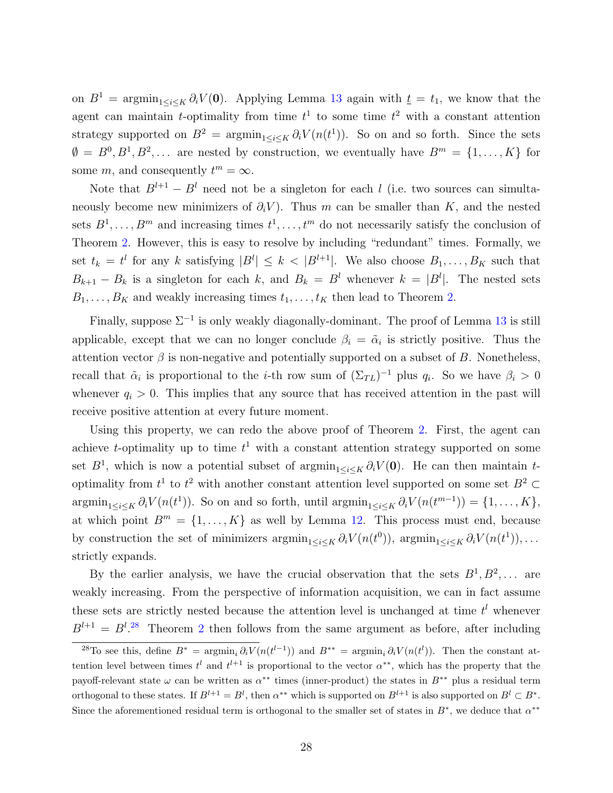on  $B^1$  = argmin<sub>1≤i≤K</sub>  $\partial_i V(0)$ . Applying Lemma [13](#page-25-0) again with  $\underline{t} = t_1$ , we know that the agent can maintain *t*-optimality from time  $t^1$  to some time  $t^2$  with a constant attention strategy supported on  $B^2 = \operatorname{argmin}_{1 \le i \le K} \partial_i V(n(t^1))$ . So on and so forth. Since the sets  $\emptyset = B^0, B^1, B^2, \ldots$  are nested by construction, we eventually have  $B^m = \{1, \ldots, K\}$  for some m, and consequently  $t^m = \infty$ .

Note that  $B^{l+1} - B^l$  need not be a singleton for each l (i.e. two sources can simultaneously become new minimizers of  $\partial_i V$ ). Thus m can be smaller than K, and the nested sets  $B^1, \ldots, B^m$  and increasing times  $t^1, \ldots, t^m$  do not necessarily satisfy the conclusion of Theorem [2.](#page-10-0) However, this is easy to resolve by including "redundant" times. Formally, we set  $t_k = t^l$  for any k satisfying  $|B^l| \leq k < |B^{l+1}|$ . We also choose  $B_1, \ldots, B_K$  such that  $B_{k+1} - B_k$  is a singleton for each k, and  $B_k = B^l$  whenever  $k = |B^l|$ . The nested sets  $B_1, \ldots, B_K$  and weakly increasing times  $t_1, \ldots, t_K$  then lead to Theorem [2.](#page-10-0)

Finally, suppose  $\Sigma^{-1}$  is only weakly diagonally-dominant. The proof of Lemma [13](#page-25-0) is still applicable, except that we can no longer conclude  $\beta_i = \tilde{\alpha}_i$  is strictly positive. Thus the attention vector  $\beta$  is non-negative and potentially supported on a subset of B. Nonetheless, recall that  $\tilde{\alpha}_i$  is proportional to the *i*-th row sum of  $(\Sigma_{TL})^{-1}$  plus  $q_i$ . So we have  $\beta_i > 0$ whenever  $q_i > 0$ . This implies that any source that has received attention in the past will receive positive attention at every future moment.

Using this property, we can redo the above proof of Theorem [2.](#page-10-0) First, the agent can achieve *t*-optimality up to time  $t^1$  with a constant attention strategy supported on some set  $B^1$ , which is now a potential subset of  $\operatorname{argmin}_{1 \le i \le K} \partial_i V(\mathbf{0})$ . He can then maintain toptimality from  $t^1$  to  $t^2$  with another constant attention level supported on some set  $B^2 \subset$  $\operatorname{argmin}_{1 \leq i \leq K} \partial_i V(n(t^1))$ . So on and so forth, until  $\operatorname{argmin}_{1 \leq i \leq K} \partial_i V(n(t^{m-1})) = \{1, \ldots, K\},\$ at which point  $B^m = \{1, ..., K\}$  as well by Lemma [12.](#page-24-1) This process must end, because by construction the set of minimizers  $\operatorname{argmin}_{1 \le i \le K} \partial_i V(n(t^0))$ ,  $\operatorname{argmin}_{1 \le i \le K} \partial_i V(n(t^1))$ , ... strictly expands.

By the earlier analysis, we have the crucial observation that the sets  $B^1, B^2, \ldots$  are weakly increasing. From the perspective of information acquisition, we can in fact assume these sets are strictly nested because the attention level is unchanged at time  $t<sup>l</sup>$  whenever  $B^{l+1} = B^{l}$ .<sup>[28](#page-28-0)</sup> Theorem [2](#page-10-0) then follows from the same argument as before, after including

<span id="page-28-0"></span><sup>&</sup>lt;sup>28</sup>To see this, define  $B^* = \argmin_i \partial_i V(n(t^{l-1}))$  and  $B^{**} = \argmin_i \partial_i V(n(t^l))$ . Then the constant attention level between times  $t^l$  and  $t^{l+1}$  is proportional to the vector  $\alpha^{**}$ , which has the property that the payoff-relevant state  $\omega$  can be written as  $\alpha^{**}$  times (inner-product) the states in  $B^{**}$  plus a residual term orthogonal to these states. If  $B^{l+1} = B^l$ , then  $\alpha^{**}$  which is supported on  $B^{l+1}$  is also supported on  $B^l \subset B^*$ . Since the aforementioned residual term is orthogonal to the smaller set of states in  $B^*$ , we deduce that  $\alpha^{**}$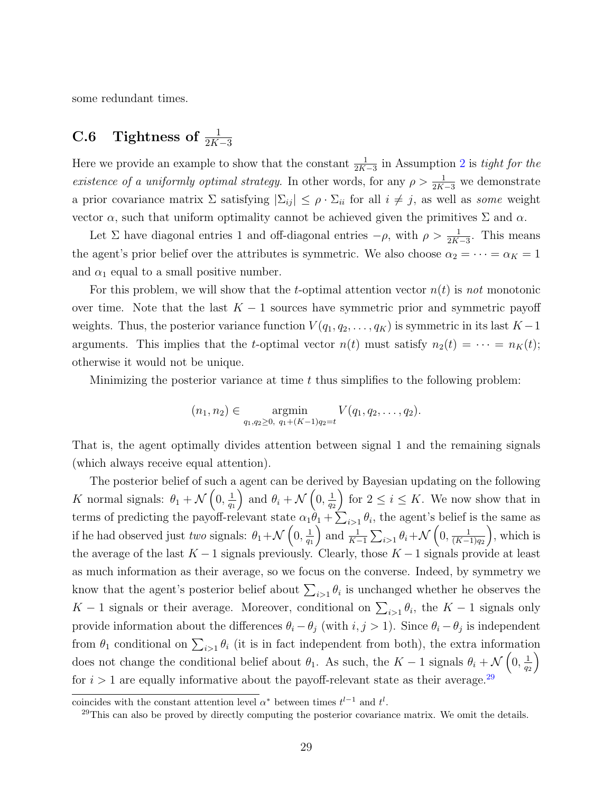<span id="page-29-0"></span>some redundant times.

# C.6 Tightness of  $\frac{1}{2K-3}$

Here we provide an example to show that the constant  $\frac{1}{2K-3}$  $\frac{1}{2K-3}$  $\frac{1}{2K-3}$  in Assumption 2 is *tight for the* existence of a uniformly optimal strategy. In other words, for any  $\rho > \frac{1}{2K-3}$  we demonstrate a prior covariance matrix  $\Sigma$  satisfying  $|\Sigma_{ij}| \leq \rho \cdot \Sigma_{ii}$  for all  $i \neq j$ , as well as some weight vector  $\alpha$ , such that uniform optimality cannot be achieved given the primitives  $\Sigma$  and  $\alpha$ .

Let  $\Sigma$  have diagonal entries 1 and off-diagonal entries  $-\rho$ , with  $\rho > \frac{1}{2K-3}$ . This means the agent's prior belief over the attributes is symmetric. We also choose  $\alpha_2 = \cdots = \alpha_K = 1$ and  $\alpha_1$  equal to a small positive number.

For this problem, we will show that the t-optimal attention vector  $n(t)$  is not monotonic over time. Note that the last  $K - 1$  sources have symmetric prior and symmetric payoff weights. Thus, the posterior variance function  $V(q_1, q_2, \ldots, q_K)$  is symmetric in its last  $K-1$ arguments. This implies that the t-optimal vector  $n(t)$  must satisfy  $n_2(t) = \cdots = n_K(t)$ ; otherwise it would not be unique.

Minimizing the posterior variance at time  $t$  thus simplifies to the following problem:

$$
(n_1, n_2) \in \operatorname*{argmin}_{q_1, q_2 \geq 0, q_1 + (K-1)q_2 = t} V(q_1, q_2, \ldots, q_2).
$$

That is, the agent optimally divides attention between signal 1 and the remaining signals (which always receive equal attention).

The posterior belief of such a agent can be derived by Bayesian updating on the following K normal signals:  $\theta_1 + \mathcal{N}\left(0, \frac{1}{a_1}\right)$  $q_1$ ) and  $\theta_i + \mathcal{N}\left(0, \frac{1}{a_i}\right)$ q2 for  $2 \leq i \leq K$ . We now show that in terms of predicting the payoff-relevant state  $\alpha_1\theta_1 + \sum_{i>1} \theta_i$ , the agent's belief is the same as if he had observed just two signals:  $\theta_1 + \mathcal{N}\left(0, \frac{1}{\alpha}\right)$  $q_1$ ) and  $\frac{1}{K-1}\sum_{i>1}\theta_i+\mathcal{N}\left(0,\frac{1}{(K-i)}\right)$  $(K-1)q_2$  , which is the average of the last  $K - 1$  signals previously. Clearly, those  $K - 1$  signals provide at least as much information as their average, so we focus on the converse. Indeed, by symmetry we know that the agent's posterior belief about  $\sum_{i>1} \theta_i$  is unchanged whether he observes the K − 1 signals or their average. Moreover, conditional on  $\sum_{i>1} \theta_i$ , the K − 1 signals only provide information about the differences  $\theta_i - \theta_j$  (with  $i, j > 1$ ). Since  $\theta_i - \theta_j$  is independent from  $\theta_1$  conditional on  $\sum_{i>1} \theta_i$  (it is in fact independent from both), the extra information does not change the conditional belief about  $\theta_1$ . As such, the K – 1 signals  $\theta_i + \mathcal{N}\left(0, \frac{1}{\alpha}\right)$ q2  $\setminus$ for  $i > 1$  are equally informative about the payoff-relevant state as their average.<sup>[29](#page-29-1)</sup>

coincides with the constant attention level  $\alpha^*$  between times  $t^{l-1}$  and  $t^l$ .

<span id="page-29-1"></span> $29$ This can also be proved by directly computing the posterior covariance matrix. We omit the details.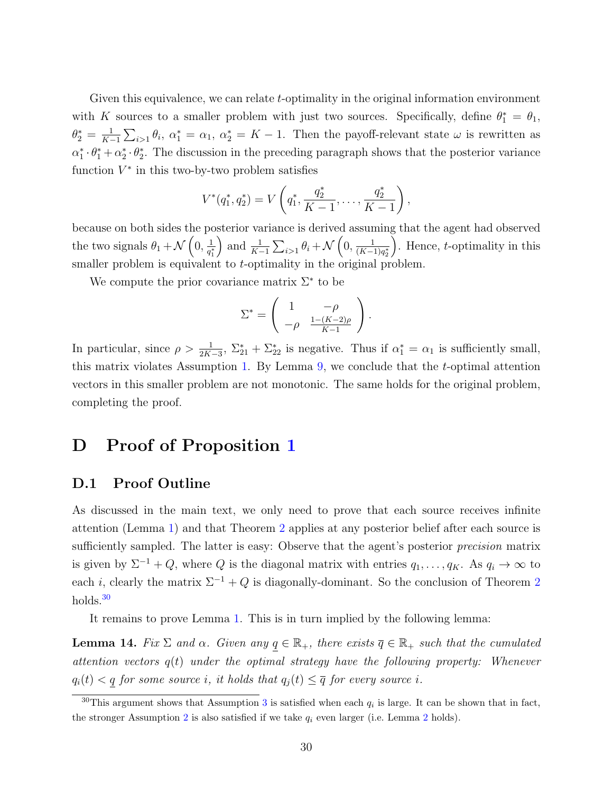Given this equivalence, we can relate t-optimality in the original information environment with K sources to a smaller problem with just two sources. Specifically, define  $\theta_1^* = \theta_1$ ,  $\theta_2^* = \frac{1}{K^-}$  $\frac{1}{K-1}\sum_{i>1}\theta_i$ ,  $\alpha_1^* = \alpha_1$ ,  $\alpha_2^* = K-1$ . Then the payoff-relevant state  $\omega$  is rewritten as  $\alpha_1^* \cdot \theta_1^* + \alpha_2^* \cdot \theta_2^*$ . The discussion in the preceding paragraph shows that the posterior variance function  $V^*$  in this two-by-two problem satisfies

$$
V^*(q_1^*, q_2^*) = V\left(q_1^*, \frac{q_2^*}{K-1}, \dots, \frac{q_2^*}{K-1}\right),
$$

because on both sides the posterior variance is derived assuming that the agent had observed the two signals  $\theta_1 + \mathcal{N}\left(0, \frac{1}{a^2}\right)$  $\overline{q_1^*}$ ) and  $\frac{1}{K-1}\sum_{i>1}\theta_i+\mathcal{N}\left(0,\frac{1}{(K-i)}\right)$  $\sqrt{(K-1)q_2^*}$ ). Hence,  $t$ -optimality in this smaller problem is equivalent to *t*-optimality in the original problem.

We compute the prior covariance matrix  $\Sigma^*$  to be

$$
\Sigma^* = \left( \begin{array}{cc} 1 & -\rho \\ -\rho & \frac{1-(K-2)\rho}{K-1} \end{array} \right).
$$

In particular, since  $\rho > \frac{1}{2K-3}$ ,  $\Sigma_{21}^* + \Sigma_{22}^*$  is negative. Thus if  $\alpha_1^* = \alpha_1$  is sufficiently small, this matrix violates Assumption [1.](#page-8-1) By Lemma  $9$ , we conclude that the *t*-optimal attention vectors in this smaller problem are not monotonic. The same holds for the original problem, completing the proof.

# D Proof of Proposition [1](#page-11-5)

#### D.1 Proof Outline

As discussed in the main text, we only need to prove that each source receives infinite attention (Lemma [1\)](#page-11-2) and that Theorem [2](#page-10-0) applies at any posterior belief after each source is sufficiently sampled. The latter is easy: Observe that the agent's posterior *precision* matrix is given by  $\Sigma^{-1} + Q$ , where Q is the diagonal matrix with entries  $q_1, \ldots, q_K$ . As  $q_i \to \infty$  to each i, clearly the matrix  $\Sigma^{-1} + Q$  is diagonally-dominant. So the conclusion of Theorem [2](#page-10-0) holds.<sup>[30](#page-30-0)</sup>

It remains to prove Lemma [1.](#page-11-2) This is in turn implied by the following lemma:

**Lemma 14.** Fix  $\Sigma$  and  $\alpha$ . Given any  $q \in \mathbb{R}_+$ , there exists  $\overline{q} \in \mathbb{R}_+$  such that the cumulated attention vectors  $q(t)$  under the optimal strategy have the following property: Whenever  $q_i(t) < q$  for some source i, it holds that  $q_j(t) \leq \overline{q}$  for every source i.

<span id="page-30-0"></span><sup>&</sup>lt;sup>[3](#page-23-0)0</sup>This argument shows that Assumption 3 is satisfied when each  $q_i$  is large. It can be shown that in fact, the stronger Assumption [2](#page-11-3) is also satisfied if we take  $q_i$  even larger (i.e. Lemma 2 holds).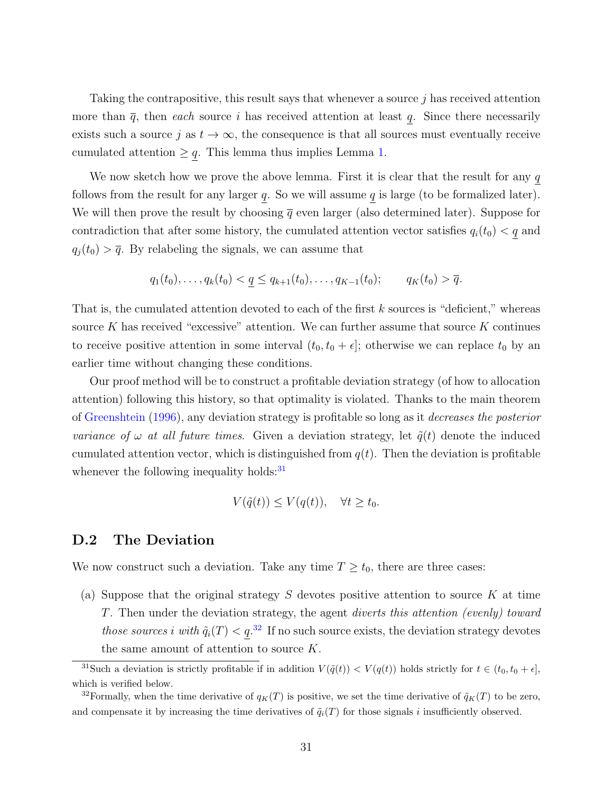Taking the contrapositive, this result says that whenever a source j has received attention more than  $\bar{q}$ , then each source i has received attention at least q. Since there necessarily exists such a source j as  $t \to \infty$ , the consequence is that all sources must eventually receive cumulated attention  $\geq q$ . This lemma thus implies Lemma [1.](#page-11-2)

We now sketch how we prove the above lemma. First it is clear that the result for any  $q$ follows from the result for any larger  $q$ . So we will assume  $q$  is large (to be formalized later). We will then prove the result by choosing  $\bar{q}$  even larger (also determined later). Suppose for contradiction that after some history, the cumulated attention vector satisfies  $q_i(t_0) < q$  and  $q_j(t_0) > \overline{q}$ . By relabeling the signals, we can assume that

$$
q_1(t_0),..., q_k(t_0) < \underline{q} \leq q_{k+1}(t_0),..., q_{K-1}(t_0);
$$
  $q_K(t_0) > \overline{q}.$ 

That is, the cumulated attention devoted to each of the first  $k$  sources is "deficient," whereas source K has received "excessive" attention. We can further assume that source K continues to receive positive attention in some interval  $(t_0, t_0 + \epsilon]$ ; otherwise we can replace  $t_0$  by an earlier time without changing these conditions.

Our proof method will be to construct a profitable deviation strategy (of how to allocation attention) following this history, so that optimality is violated. Thanks to the main theorem of [Greenshtein](#page-38-14) [\(1996\)](#page-38-14), any deviation strategy is profitable so long as it decreases the posterior variance of  $\omega$  at all future times. Given a deviation strategy, let  $\tilde{q}(t)$  denote the induced cumulated attention vector, which is distinguished from  $q(t)$ . Then the deviation is profitable whenever the following inequality holds: $31$ 

$$
V(\tilde{q}(t)) \le V(q(t)), \quad \forall t \ge t_0.
$$

#### D.2 The Deviation

We now construct such a deviation. Take any time  $T \geq t_0$ , there are three cases:

(a) Suppose that the original strategy  $S$  devotes positive attention to source  $K$  at time T. Then under the deviation strategy, the agent diverts this attention (evenly) toward those sources i with  $\tilde{q}_i(T) < q^{32}$  $\tilde{q}_i(T) < q^{32}$  $\tilde{q}_i(T) < q^{32}$  If no such source exists, the deviation strategy devotes the same amount of attention to source K.

<span id="page-31-0"></span><sup>&</sup>lt;sup>31</sup>Such a deviation is strictly profitable if in addition  $V(\tilde{q}(t)) < V(q(t))$  holds strictly for  $t \in (t_0, t_0 + \epsilon]$ , which is verified below.

<span id="page-31-1"></span><sup>&</sup>lt;sup>32</sup>Formally, when the time derivative of  $q_K(T)$  is positive, we set the time derivative of  $\tilde{q}_K(T)$  to be zero, and compensate it by increasing the time derivatives of  $\tilde{q}_i(T)$  for those signals i insufficiently observed.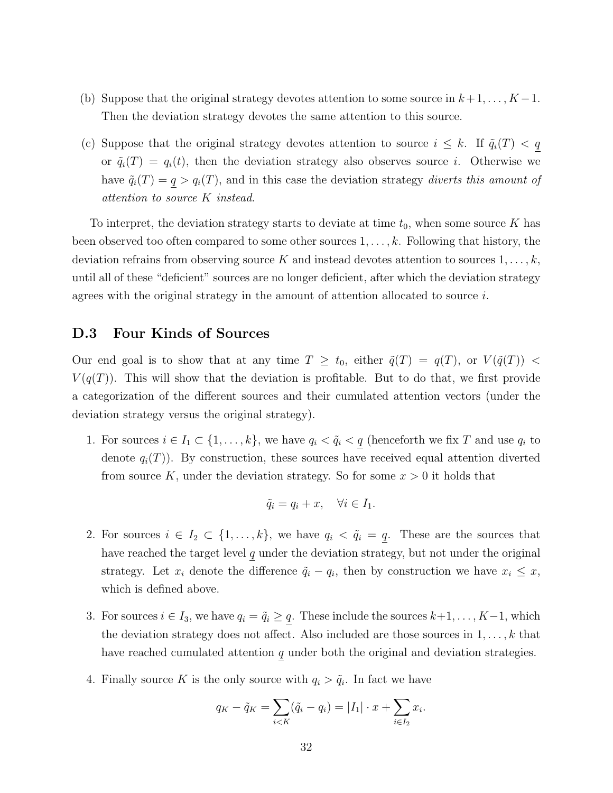- (b) Suppose that the original strategy devotes attention to some source in  $k+1, \ldots, K-1$ . Then the deviation strategy devotes the same attention to this source.
- (c) Suppose that the original strategy devotes attention to source  $i \leq k$ . If  $\tilde{q}_i(T) < q$ or  $\tilde{q}_i(T) = q_i(t)$ , then the deviation strategy also observes source i. Otherwise we have  $\tilde{q}_i(T) = q > q_i(T)$ , and in this case the deviation strategy diverts this amount of attention to source K instead.

To interpret, the deviation strategy starts to deviate at time  $t_0$ , when some source K has been observed too often compared to some other sources  $1, \ldots, k$ . Following that history, the deviation refrains from observing source K and instead devotes attention to sources  $1, \ldots, k$ , until all of these "deficient" sources are no longer deficient, after which the deviation strategy agrees with the original strategy in the amount of attention allocated to source  $i$ .

#### D.3 Four Kinds of Sources

Our end goal is to show that at any time  $T \geq t_0$ , either  $\tilde{q}(T) = q(T)$ , or  $V(\tilde{q}(T)) <$  $V(q(T))$ . This will show that the deviation is profitable. But to do that, we first provide a categorization of the different sources and their cumulated attention vectors (under the deviation strategy versus the original strategy).

1. For sources  $i \in I_1 \subset \{1, \ldots, k\}$ , we have  $q_i < \tilde{q}_i < \underline{q}$  (henceforth we fix T and use  $q_i$  to denote  $q_i(T)$ ). By construction, these sources have received equal attention diverted from source K, under the deviation strategy. So for some  $x > 0$  it holds that

$$
\tilde{q}_i = q_i + x, \quad \forall i \in I_1.
$$

- 2. For sources  $i \in I_2 \subset \{1, ..., k\}$ , we have  $q_i < \tilde{q}_i = q$ . These are the sources that have reached the target level  $q$  under the deviation strategy, but not under the original strategy. Let  $x_i$  denote the difference  $\tilde{q}_i - q_i$ , then by construction we have  $x_i \leq x$ , which is defined above.
- 3. For sources  $i \in I_3$ , we have  $q_i = \tilde{q}_i \geq q$ . These include the sources  $k+1, \ldots, K-1$ , which the deviation strategy does not affect. Also included are those sources in  $1, \ldots, k$  that have reached cumulated attention  $q$  under both the original and deviation strategies.
- 4. Finally source K is the only source with  $q_i > \tilde{q}_i$ . In fact we have

$$
q_K - \tilde{q}_K = \sum_{i < K} (\tilde{q}_i - q_i) = |I_1| \cdot x + \sum_{i \in I_2} x_i.
$$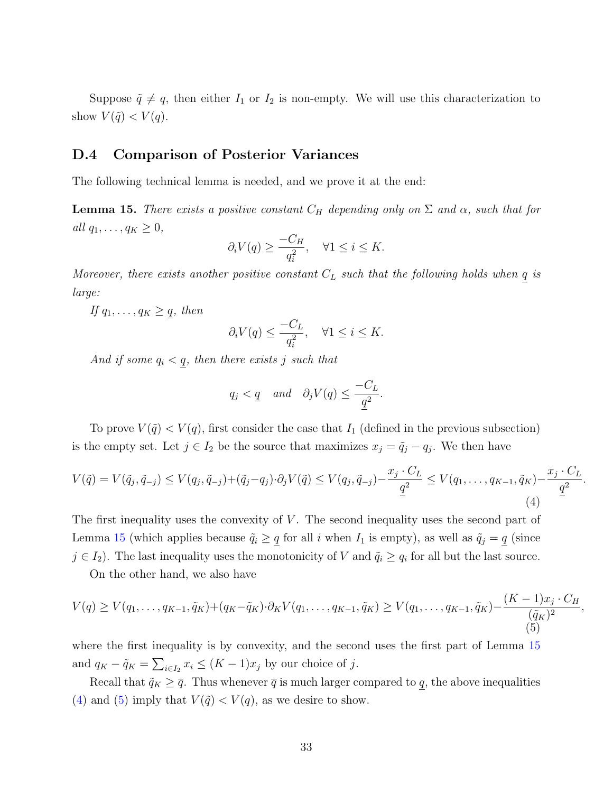Suppose  $\tilde{q} \neq q$ , then either  $I_1$  or  $I_2$  is non-empty. We will use this characterization to show  $V(\tilde{q}) < V(q)$ .

#### D.4 Comparison of Posterior Variances

The following technical lemma is needed, and we prove it at the end:

<span id="page-33-0"></span>**Lemma 15.** There exists a positive constant  $C_H$  depending only on  $\Sigma$  and  $\alpha$ , such that for all  $q_1, \ldots, q_K \geq 0$ ,

$$
\partial_i V(q) \ge \frac{-C_H}{q_i^2}, \quad \forall 1 \le i \le K.
$$

Moreover, there exists another positive constant  $C_L$  such that the following holds when q is large:

If  $q_1, \ldots, q_K \geq q$ , then

$$
\partial_i V(q) \le \frac{-C_L}{q_i^2}, \quad \forall 1 \le i \le K.
$$

And if some  $q_i < q$ , then there exists j such that

$$
q_j < \underline{q}
$$
 and  $\partial_j V(q) \leq \frac{-C_L}{\underline{q}^2}$ .

To prove  $V(\tilde{q}) < V(q)$ , first consider the case that  $I_1$  (defined in the previous subsection) is the empty set. Let  $j \in I_2$  be the source that maximizes  $x_j = \tilde{q}_j - q_j$ . We then have

<span id="page-33-1"></span>
$$
V(\tilde{q}) = V(\tilde{q}_j, \tilde{q}_{-j}) \le V(q_j, \tilde{q}_{-j}) + (\tilde{q}_j - q_j) \cdot \partial_j V(\tilde{q}) \le V(q_j, \tilde{q}_{-j}) - \frac{x_j \cdot C_L}{\underline{q}^2} \le V(q_1, \dots, q_{K-1}, \tilde{q}_K) - \frac{x_j \cdot C_L}{\underline{q}^2}
$$
\n(4)

.

,

The first inequality uses the convexity of  $V$ . The second inequality uses the second part of Lemma [15](#page-33-0) (which applies because  $\tilde{q}_i \geq q$  for all i when  $I_1$  is empty), as well as  $\tilde{q}_j = q$  (since  $j \in I_2$ ). The last inequality uses the monotonicity of V and  $\tilde{q}_i \ge q_i$  for all but the last source.

On the other hand, we also have

<span id="page-33-2"></span>
$$
V(q) \ge V(q_1, \dots, q_{K-1}, \tilde{q}_K) + (q_K - \tilde{q}_K) \cdot \partial_K V(q_1, \dots, q_{K-1}, \tilde{q}_K) \ge V(q_1, \dots, q_{K-1}, \tilde{q}_K) - \frac{(K-1)x_j \cdot C_H}{(\tilde{q}_K)^2}
$$
\n(5)

where the first inequality is by convexity, and the second uses the first part of Lemma [15](#page-33-0) and  $q_K - \tilde{q}_K = \sum_{i \in I_2} x_i \leq (K - 1)x_j$  by our choice of j.

Recall that  $\tilde{q}_K \geq \overline{q}$ . Thus whenever  $\overline{q}$  is much larger compared to q, the above inequalities [\(4\)](#page-33-1) and [\(5\)](#page-33-2) imply that  $V(\tilde{q}) < V(q)$ , as we desire to show.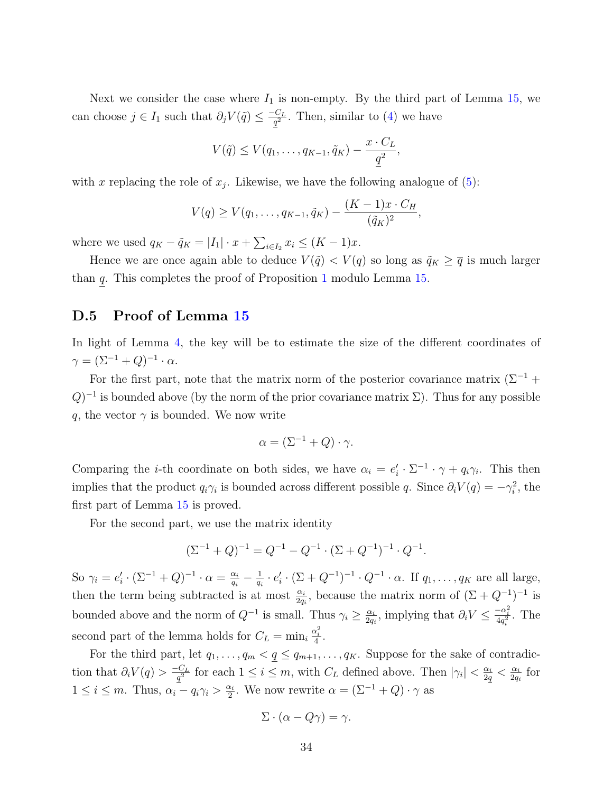Next we consider the case where  $I_1$  is non-empty. By the third part of Lemma [15,](#page-33-0) we can choose  $j \in I_1$  such that  $\partial_j V(\tilde{q}) \leq \frac{-C_L}{q^2}$  $\frac{C_L}{q^2}$ . Then, similar to [\(4\)](#page-33-1) we have

$$
V(\tilde{q}) \leq V(q_1,\ldots,q_{K-1},\tilde{q}_K) - \frac{x \cdot C_L}{\underline{q}^2},
$$

with x replacing the role of  $x_j$ . Likewise, we have the following analogue of [\(5\)](#page-33-2):

$$
V(q) \geq V(q_1, \ldots, q_{K-1}, \tilde{q}_K) - \frac{(K-1)x \cdot C_H}{(\tilde{q}_K)^2},
$$

where we used  $q_K - \tilde{q}_K = |I_1| \cdot x + \sum_{i \in I_2} x_i \leq (K - 1)x$ .

Hence we are once again able to deduce  $V(\tilde{q}) < V(q)$  so long as  $\tilde{q}_K \geq \overline{q}$  is much larger than q. This completes the proof of Proposition [1](#page-11-5) modulo Lemma [15.](#page-33-0)

#### D.5 Proof of Lemma [15](#page-33-0)

In light of Lemma [4,](#page-19-1) the key will be to estimate the size of the different coordinates of  $\gamma = (\Sigma^{-1} + Q)^{-1} \cdot \alpha.$ 

For the first part, note that the matrix norm of the posterior covariance matrix  $(\Sigma^{-1}$  +  $(Q)^{-1}$  is bounded above (by the norm of the prior covariance matrix  $\Sigma$ ). Thus for any possible q, the vector  $\gamma$  is bounded. We now write

$$
\alpha = (\Sigma^{-1} + Q) \cdot \gamma.
$$

Comparing the *i*-th coordinate on both sides, we have  $\alpha_i = e'_i \cdot \Sigma^{-1} \cdot \gamma + q_i \gamma_i$ . This then implies that the product  $q_i\gamma_i$  is bounded across different possible q. Since  $\partial_i V(q) = -\gamma_i^2$ , the first part of Lemma [15](#page-33-0) is proved.

For the second part, we use the matrix identity

$$
(\Sigma^{-1} + Q)^{-1} = Q^{-1} - Q^{-1} \cdot (\Sigma + Q^{-1})^{-1} \cdot Q^{-1}.
$$

So  $\gamma_i = e'_i \cdot (\Sigma^{-1} + Q)^{-1} \cdot \alpha = \frac{\alpha_i}{q_i}$  $\frac{\alpha_i}{q_i}-\frac{1}{q_i}$  $\frac{1}{q_i} \cdot e'_i \cdot (\Sigma + Q^{-1})^{-1} \cdot Q^{-1} \cdot \alpha$ . If  $q_1, \ldots, q_K$  are all large, then the term being subtracted is at most  $\frac{\alpha_i}{2q_i}$ , because the matrix norm of  $(\Sigma + Q^{-1})^{-1}$  is bounded above and the norm of  $Q^{-1}$  is small. Thus  $\gamma_i \geq \frac{\alpha_i}{2a}$  $\frac{\alpha_i}{2q_i}$ , implying that  $\partial_i V \leq \frac{-\alpha_i^2}{4q_i^2}$ . The second part of the lemma holds for  $C_L = \min_i \frac{\alpha_i^2}{4}$ .

For the third part, let  $q_1, \ldots, q_m < q \leq q_{m+1}, \ldots, q_K$ . Suppose for the sake of contradiction that  $\partial_i V(q) > \frac{-C_L}{q^2}$  $\frac{C_L}{q^2}$  for each  $1 \leq i \leq m$ , with  $C_L$  defined above. Then  $|\gamma_i| < \frac{\alpha_i}{2q}$  $\frac{\alpha_i}{2q} < \frac{\alpha_i}{2q}$  $\frac{\alpha_i}{2q_i}$  for  $1 \leq i \leq m$ . Thus,  $\alpha_i - q_i \gamma_i > \frac{\alpha_i}{2}$  $\frac{\alpha_i}{2}$ . We now rewrite  $\alpha = (\Sigma^{-1} + Q) \cdot \gamma$  as

$$
\Sigma \cdot (\alpha - Q\gamma) = \gamma.
$$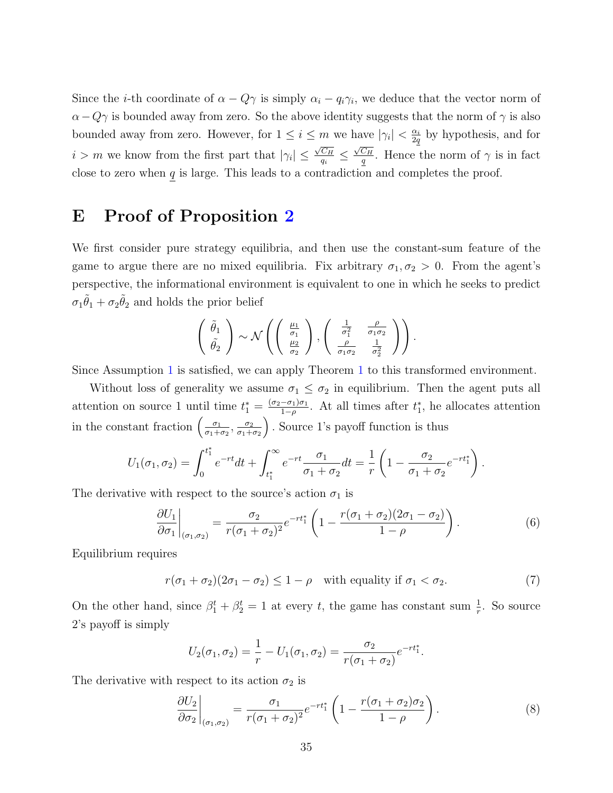Since the *i*-th coordinate of  $\alpha - Q\gamma$  is simply  $\alpha_i - q_i\gamma_i$ , we deduce that the vector norm of  $\alpha-Q\gamma$  is bounded away from zero. So the above identity suggests that the norm of  $\gamma$  is also bounded away from zero. However, for  $1 \leq i \leq m$  we have  $|\gamma_i| < \frac{\alpha_i}{2a}$  $\frac{\alpha_i}{2q}$  by hypothesis, and for  $i > m$  we know from the first part that  $|\gamma_i| \leq$  $\sqrt{C_H}$  $\frac{C_H}{q_i} \leq$  $\sqrt{C_H}$  $\frac{C_H}{q}$ . Hence the norm of  $\gamma$  is in fact close to zero when  $q$  is large. This leads to a contradiction and completes the proof.

# E Proof of Proposition [2](#page-15-1)

We first consider pure strategy equilibria, and then use the constant-sum feature of the game to argue there are no mixed equilibria. Fix arbitrary  $\sigma_1, \sigma_2 > 0$ . From the agent's perspective, the informational environment is equivalent to one in which he seeks to predict  $\sigma_1 \tilde{\theta}_1 + \sigma_2 \tilde{\theta}_2$  and holds the prior belief

$$
\begin{pmatrix}\n\tilde{\theta}_1 \\
\tilde{\theta}_2\n\end{pmatrix} \sim \mathcal{N} \left( \begin{pmatrix}\n\frac{\mu_1}{\sigma_1} \\
\frac{\mu_2}{\sigma_2}\n\end{pmatrix}, \begin{pmatrix}\n\frac{1}{\sigma_1^2} & \frac{\rho}{\sigma_1 \sigma_2} \\
\frac{\rho}{\sigma_1 \sigma_2} & \frac{1}{\sigma_2^2}\n\end{pmatrix} \right).
$$

Since Assumption [1](#page-8-1) is satisfied, we can apply Theorem [1](#page-9-0) to this transformed environment.

Without loss of generality we assume  $\sigma_1 \leq \sigma_2$  in equilibrium. Then the agent puts all attention on source 1 until time  $t_1^* = \frac{(\sigma_2 - \sigma_1)\sigma_1}{1-\rho}$  $\frac{-\sigma_1}{1-\rho}$ . At all times after  $t_1^*$ , he allocates attention in the constant fraction  $\left(\frac{\sigma_1}{\sigma_1 + \sigma_2}\right)$  $\frac{\sigma_1}{\sigma_1+\sigma_2}, \frac{\sigma_2}{\sigma_1+}$  $\sigma_1+\sigma_2$ . Source 1's payoff function is thus

$$
U_1(\sigma_1, \sigma_2) = \int_0^{t_1^*} e^{-rt} dt + \int_{t_1^*}^{\infty} e^{-rt} \frac{\sigma_1}{\sigma_1 + \sigma_2} dt = \frac{1}{r} \left( 1 - \frac{\sigma_2}{\sigma_1 + \sigma_2} e^{-rt_1^*} \right).
$$

The derivative with respect to the source's action  $\sigma_1$  is

<span id="page-35-1"></span>
$$
\left. \frac{\partial U_1}{\partial \sigma_1} \right|_{(\sigma_1, \sigma_2)} = \frac{\sigma_2}{r(\sigma_1 + \sigma_2)^2} e^{-rt_1^*} \left( 1 - \frac{r(\sigma_1 + \sigma_2)(2\sigma_1 - \sigma_2)}{1 - \rho} \right). \tag{6}
$$

Equilibrium requires

<span id="page-35-0"></span>
$$
r(\sigma_1 + \sigma_2)(2\sigma_1 - \sigma_2) \le 1 - \rho \quad \text{with equality if } \sigma_1 < \sigma_2. \tag{7}
$$

On the other hand, since  $\beta_1^t + \beta_2^t = 1$  at every t, the game has constant sum  $\frac{1}{r}$ . So source 2's payoff is simply

$$
U_2(\sigma_1, \sigma_2) = \frac{1}{r} - U_1(\sigma_1, \sigma_2) = \frac{\sigma_2}{r(\sigma_1 + \sigma_2)} e^{-rt_1^*}.
$$

The derivative with respect to its action  $\sigma_2$  is

<span id="page-35-2"></span>
$$
\left. \frac{\partial U_2}{\partial \sigma_2} \right|_{(\sigma_1, \sigma_2)} = \frac{\sigma_1}{r(\sigma_1 + \sigma_2)^2} e^{-rt_1^*} \left( 1 - \frac{r(\sigma_1 + \sigma_2)\sigma_2}{1 - \rho} \right). \tag{8}
$$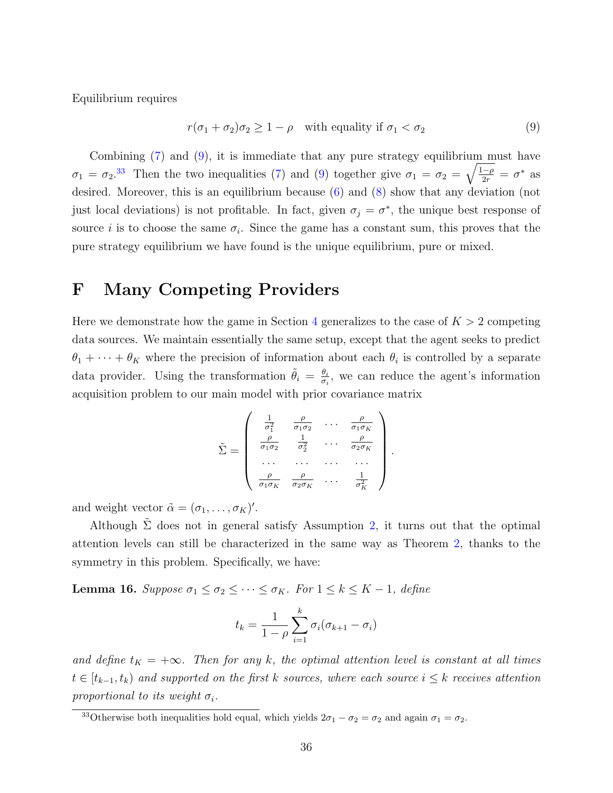Equilibrium requires

<span id="page-36-0"></span>
$$
r(\sigma_1 + \sigma_2)\sigma_2 \ge 1 - \rho \quad \text{with equality if } \sigma_1 < \sigma_2 \tag{9}
$$

Combining [\(7\)](#page-35-0) and [\(9\)](#page-36-0), it is immediate that any pure strategy equilibrium must have  $\sigma_1 = \sigma_2$ <sup>[33](#page-36-1)</sup> Then the two inequalities [\(7\)](#page-35-0) and [\(9\)](#page-36-0) together give  $\sigma_1 = \sigma_2 = \sqrt{\frac{1-\rho}{2r}} = \sigma^*$  as desired. Moreover, this is an equilibrium because [\(6\)](#page-35-1) and [\(8\)](#page-35-2) show that any deviation (not just local deviations) is not profitable. In fact, given  $\sigma_j = \sigma^*$ , the unique best response of source *i* is to choose the same  $\sigma_i$ . Since the game has a constant sum, this proves that the pure strategy equilibrium we have found is the unique equilibrium, pure or mixed.

## F Many Competing Providers

Here we demonstrate how the game in Section [4](#page-13-0) generalizes to the case of  $K > 2$  competing data sources. We maintain essentially the same setup, except that the agent seeks to predict  $\theta_1 + \cdots + \theta_K$  where the precision of information about each  $\theta_i$  is controlled by a separate data provider. Using the transformation  $\tilde{\theta}_i = \frac{\theta_i}{\sigma_i}$  $\frac{\theta_i}{\sigma_i}$ , we can reduce the agent's information acquisition problem to our main model with prior covariance matrix

$$
\tilde{\Sigma} = \begin{pmatrix}\n\frac{1}{\sigma_1^2} & \frac{\rho}{\sigma_1 \sigma_2} & \cdots & \frac{\rho}{\sigma_1 \sigma_K} \\
\frac{\rho}{\sigma_1 \sigma_2} & \frac{1}{\sigma_2^2} & \cdots & \frac{\rho}{\sigma_2 \sigma_K} \\
\cdots & \cdots & \cdots & \cdots \\
\frac{\rho}{\sigma_1 \sigma_K} & \frac{\rho}{\sigma_2 \sigma_K} & \cdots & \frac{1}{\sigma_K^2}\n\end{pmatrix}.
$$

and weight vector  $\tilde{\alpha} = (\sigma_1, \ldots, \sigma_K)'$ .

Although  $\Sigma$  does not in general satisfy Assumption [2,](#page-9-2) it turns out that the optimal attention levels can still be characterized in the same way as Theorem [2,](#page-10-0) thanks to the symmetry in this problem. Specifically, we have:

**Lemma 16.** Suppose  $\sigma_1 \leq \sigma_2 \leq \cdots \leq \sigma_K$ . For  $1 \leq k \leq K-1$ , define

$$
t_k = \frac{1}{1-\rho} \sum_{i=1}^k \sigma_i (\sigma_{k+1} - \sigma_i)
$$

and define  $t_K = +\infty$ . Then for any k, the optimal attention level is constant at all times  $t \in [t_{k-1}, t_k)$  and supported on the first k sources, where each source  $i \leq k$  receives attention proportional to its weight  $\sigma_i$ .

<span id="page-36-1"></span><sup>&</sup>lt;sup>33</sup>Otherwise both inequalities hold equal, which yields  $2\sigma_1 - \sigma_2 = \sigma_2$  and again  $\sigma_1 = \sigma_2$ .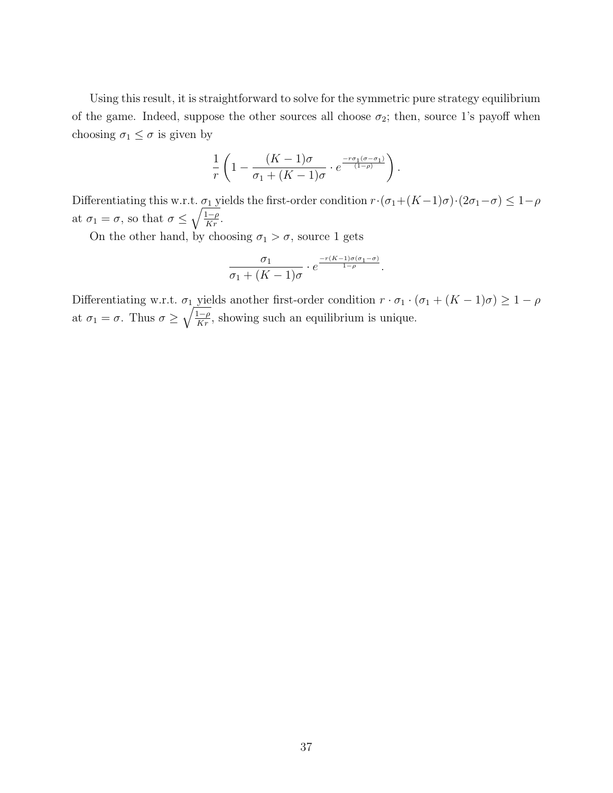Using this result, it is straightforward to solve for the symmetric pure strategy equilibrium of the game. Indeed, suppose the other sources all choose  $\sigma_2$ ; then, source 1's payoff when choosing  $\sigma_1 \leq \sigma$  is given by

$$
\frac{1}{r}\left(1-\frac{(K-1)\sigma}{\sigma_1+(K-1)\sigma}\cdot e^{\frac{-r\sigma_1(\sigma-\sigma_1)}{(1-\rho)}}\right).
$$

Differentiating this w.r.t.  $\sigma_1$  yields the first-order condition  $r \cdot (\sigma_1 + (K-1)\sigma) \cdot (2\sigma_1 - \sigma) \leq 1-\rho$ at  $\sigma_1 = \sigma$ , so that  $\sigma \leq \sqrt{\frac{1-\rho}{Kr}}$ .

On the other hand, by choosing  $\sigma_1 > \sigma$ , source 1 gets

$$
\frac{\sigma_1}{\sigma_1 + (K-1)\sigma} \cdot e^{\frac{-r(K-1)\sigma(\sigma_1 - \sigma)}{1-\rho}}.
$$

Differentiating w.r.t.  $\sigma_1$  yields another first-order condition  $r \cdot \sigma_1 \cdot (\sigma_1 + (K - 1)\sigma) \geq 1 - \rho$ at  $\sigma_1 = \sigma$ . Thus  $\sigma \geq \sqrt{\frac{1-\rho}{Kr}}$ , showing such an equilibrium is unique.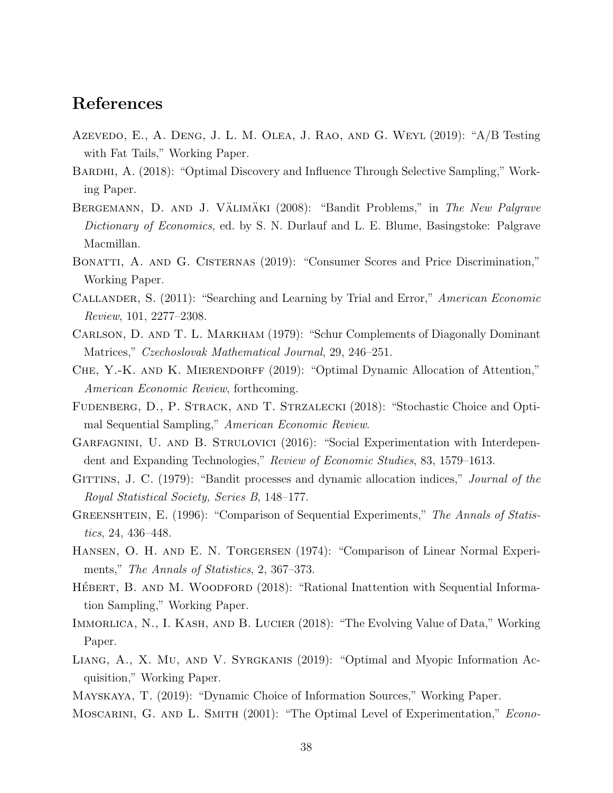## References

- <span id="page-38-11"></span>Azevedo, E., A. Deng, J. L. M. Olea, J. Rao, and G. Weyl (2019): "A/B Testing with Fat Tails," Working Paper.
- <span id="page-38-10"></span>BARDHI, A. (2018): "Optimal Discovery and Influence Through Selective Sampling," Working Paper.
- <span id="page-38-2"></span>BERGEMANN, D. AND J. VÄLIMÄKI (2008): "Bandit Problems," in The New Palgrave Dictionary of Economics, ed. by S. N. Durlauf and L. E. Blume, Basingstoke: Palgrave Macmillan.
- <span id="page-38-13"></span>BONATTI, A. AND G. CISTERNAS (2019): "Consumer Scores and Price Discrimination," Working Paper.
- <span id="page-38-8"></span>Callander, S. (2011): "Searching and Learning by Trial and Error," American Economic Review, 101, 2277–2308.
- <span id="page-38-16"></span>Carlson, D. and T. L. Markham (1979): "Schur Complements of Diagonally Dominant Matrices," Czechoslovak Mathematical Journal, 29, 246–251.
- <span id="page-38-4"></span>CHE, Y.-K. AND K. MIERENDORFF (2019): "Optimal Dynamic Allocation of Attention," American Economic Review, forthcoming.
- <span id="page-38-0"></span>FUDENBERG, D., P. STRACK, AND T. STRZALECKI (2018): "Stochastic Choice and Optimal Sequential Sampling," American Economic Review.
- <span id="page-38-9"></span>Garfagnini, U. and B. Strulovici (2016): "Social Experimentation with Interdependent and Expanding Technologies," Review of Economic Studies, 83, 1579–1613.
- <span id="page-38-1"></span>GITTINS, J. C. (1979): "Bandit processes and dynamic allocation indices," *Journal of the* Royal Statistical Society, Series B, 148–177.
- <span id="page-38-14"></span>GREENSHTEIN, E. (1996): "Comparison of Sequential Experiments," The Annals of Statistics, 24, 436–448.
- <span id="page-38-15"></span>Hansen, O. H. and E. N. Torgersen (1974): "Comparison of Linear Normal Experiments," The Annals of Statistics, 2, 367–373.
- <span id="page-38-6"></span>HÉBERT, B. AND M. WOODFORD (2018): "Rational Inattention with Sequential Information Sampling," Working Paper.
- <span id="page-38-12"></span>Immorlica, N., I. Kash, and B. Lucier (2018): "The Evolving Value of Data," Working Paper.
- <span id="page-38-7"></span>Liang, A., X. Mu, and V. Syrgkanis (2019): "Optimal and Myopic Information Acquisition," Working Paper.
- <span id="page-38-5"></span><span id="page-38-3"></span>Mayskaya, T. (2019): "Dynamic Choice of Information Sources," Working Paper.
- MOSCARINI, G. AND L. SMITH (2001): "The Optimal Level of Experimentation," Econo-